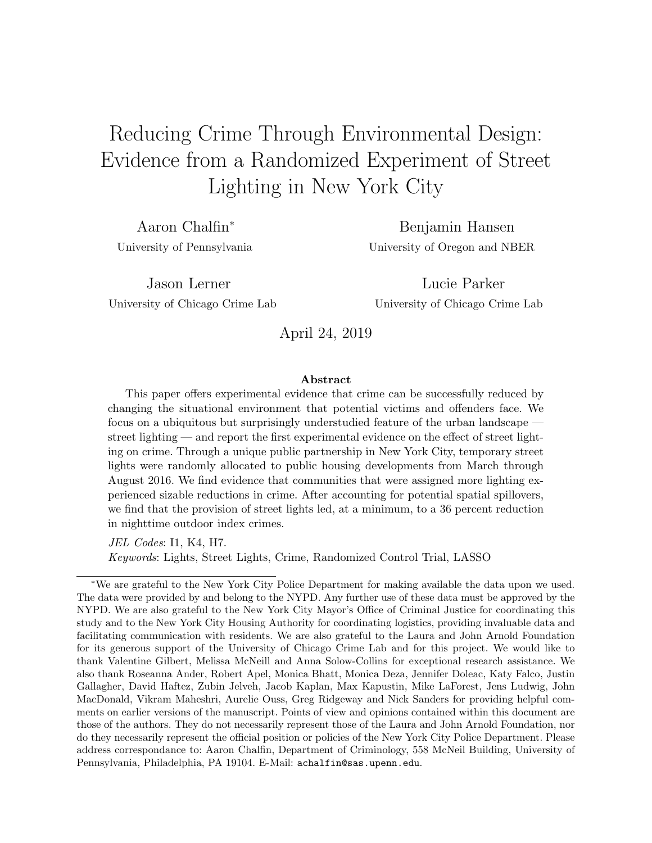# Reducing Crime Through Environmental Design: Evidence from a Randomized Experiment of Street Lighting in New York City

Aaron Chalfin<sup>∗</sup> Benjamin Hansen University of Pennsylvania University of Oregon and NBER

Jason Lerner Lucie Parker University of Chicago Crime Lab University of Chicago Crime Lab

April 24, 2019

#### Abstract

This paper offers experimental evidence that crime can be successfully reduced by changing the situational environment that potential victims and offenders face. We focus on a ubiquitous but surprisingly understudied feature of the urban landscape street lighting — and report the first experimental evidence on the effect of street lighting on crime. Through a unique public partnership in New York City, temporary street lights were randomly allocated to public housing developments from March through August 2016. We find evidence that communities that were assigned more lighting experienced sizable reductions in crime. After accounting for potential spatial spillovers, we find that the provision of street lights led, at a minimum, to a 36 percent reduction in nighttime outdoor index crimes.

JEL Codes: I1, K4, H7. Keywords: Lights, Street Lights, Crime, Randomized Control Trial, LASSO

<sup>∗</sup>We are grateful to the New York City Police Department for making available the data upon we used. The data were provided by and belong to the NYPD. Any further use of these data must be approved by the NYPD. We are also grateful to the New York City Mayor's Office of Criminal Justice for coordinating this study and to the New York City Housing Authority for coordinating logistics, providing invaluable data and facilitating communication with residents. We are also grateful to the Laura and John Arnold Foundation for its generous support of the University of Chicago Crime Lab and for this project. We would like to thank Valentine Gilbert, Melissa McNeill and Anna Solow-Collins for exceptional research assistance. We also thank Roseanna Ander, Robert Apel, Monica Bhatt, Monica Deza, Jennifer Doleac, Katy Falco, Justin Gallagher, David Haftez, Zubin Jelveh, Jacob Kaplan, Max Kapustin, Mike LaForest, Jens Ludwig, John MacDonald, Vikram Maheshri, Aurelie Ouss, Greg Ridgeway and Nick Sanders for providing helpful comments on earlier versions of the manuscript. Points of view and opinions contained within this document are those of the authors. They do not necessarily represent those of the Laura and John Arnold Foundation, nor do they necessarily represent the official position or policies of the New York City Police Department. Please address correspondance to: Aaron Chalfin, Department of Criminology, 558 McNeil Building, University of Pennsylvania, Philadelphia, PA 19104. E-Mail: achalfin@sas.upenn.edu.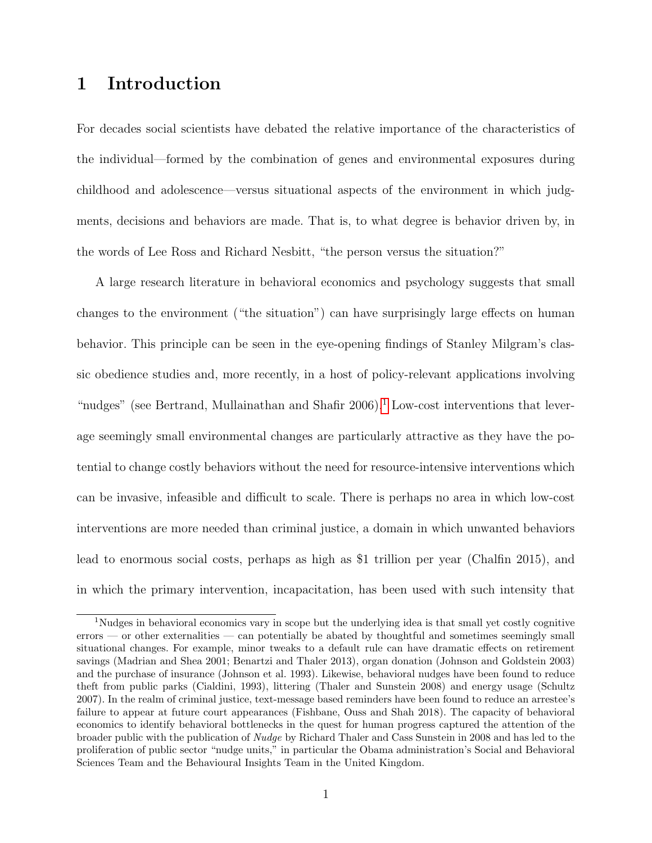# 1 Introduction

For decades social scientists have debated the relative importance of the characteristics of the individual—formed by the combination of genes and environmental exposures during childhood and adolescence—versus situational aspects of the environment in which judgments, decisions and behaviors are made. That is, to what degree is behavior driven by, in the words of Lee Ross and Richard Nesbitt, "the person versus the situation?"

A large research literature in behavioral economics and psychology suggests that small changes to the environment ("the situation") can have surprisingly large effects on human behavior. This principle can be seen in the eye-opening findings of Stanley Milgram's classic obedience studies and, more recently, in a host of policy-relevant applications involving "nudges" (see Bertrand, Mullainathan and Shafir  $2006$ ).<sup>[1](#page-1-0)</sup> Low-cost interventions that leverage seemingly small environmental changes are particularly attractive as they have the potential to change costly behaviors without the need for resource-intensive interventions which can be invasive, infeasible and difficult to scale. There is perhaps no area in which low-cost interventions are more needed than criminal justice, a domain in which unwanted behaviors lead to enormous social costs, perhaps as high as \$1 trillion per year (Chalfin 2015), and in which the primary intervention, incapacitation, has been used with such intensity that

<span id="page-1-0"></span><sup>&</sup>lt;sup>1</sup>Nudges in behavioral economics vary in scope but the underlying idea is that small yet costly cognitive errors — or other externalities — can potentially be abated by thoughtful and sometimes seemingly small situational changes. For example, minor tweaks to a default rule can have dramatic effects on retirement savings (Madrian and Shea 2001; Benartzi and Thaler 2013), organ donation (Johnson and Goldstein 2003) and the purchase of insurance (Johnson et al. 1993). Likewise, behavioral nudges have been found to reduce theft from public parks (Cialdini, 1993), littering (Thaler and Sunstein 2008) and energy usage (Schultz 2007). In the realm of criminal justice, text-message based reminders have been found to reduce an arrestee's failure to appear at future court appearances (Fishbane, Ouss and Shah 2018). The capacity of behavioral economics to identify behavioral bottlenecks in the quest for human progress captured the attention of the broader public with the publication of Nudge by Richard Thaler and Cass Sunstein in 2008 and has led to the proliferation of public sector "nudge units," in particular the Obama administration's Social and Behavioral Sciences Team and the Behavioural Insights Team in the United Kingdom.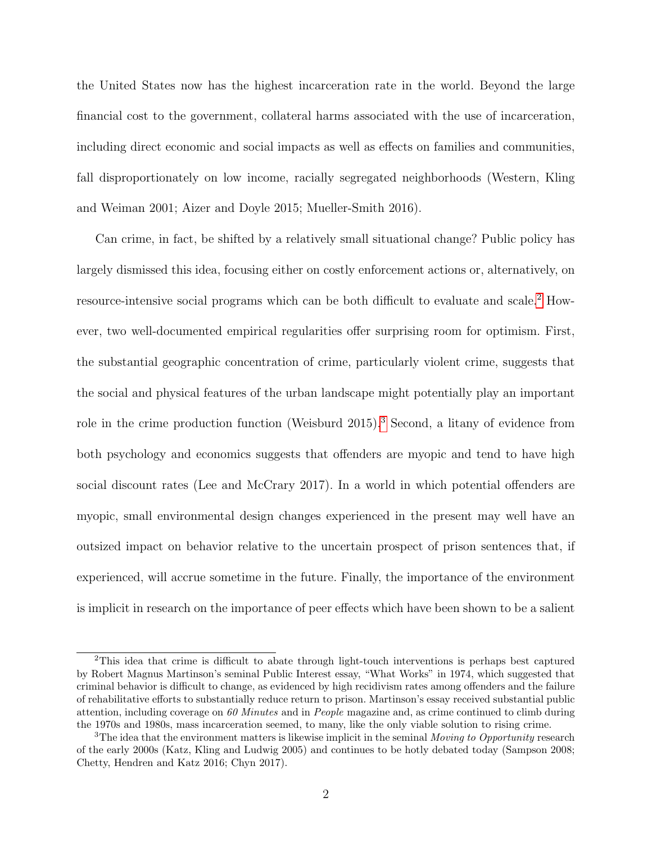the United States now has the highest incarceration rate in the world. Beyond the large financial cost to the government, collateral harms associated with the use of incarceration, including direct economic and social impacts as well as effects on families and communities, fall disproportionately on low income, racially segregated neighborhoods (Western, Kling and Weiman 2001; Aizer and Doyle 2015; Mueller-Smith 2016).

Can crime, in fact, be shifted by a relatively small situational change? Public policy has largely dismissed this idea, focusing either on costly enforcement actions or, alternatively, on resource-intensive social programs which can be both difficult to evaluate and scale.[2](#page-2-0) However, two well-documented empirical regularities offer surprising room for optimism. First, the substantial geographic concentration of crime, particularly violent crime, suggests that the social and physical features of the urban landscape might potentially play an important role in the crime production function (Weisburd 2015).[3](#page-2-1) Second, a litany of evidence from both psychology and economics suggests that offenders are myopic and tend to have high social discount rates (Lee and McCrary 2017). In a world in which potential offenders are myopic, small environmental design changes experienced in the present may well have an outsized impact on behavior relative to the uncertain prospect of prison sentences that, if experienced, will accrue sometime in the future. Finally, the importance of the environment is implicit in research on the importance of peer effects which have been shown to be a salient

<span id="page-2-0"></span><sup>2</sup>This idea that crime is difficult to abate through light-touch interventions is perhaps best captured by Robert Magnus Martinson's seminal Public Interest essay, "What Works" in 1974, which suggested that criminal behavior is difficult to change, as evidenced by high recidivism rates among offenders and the failure of rehabilitative efforts to substantially reduce return to prison. Martinson's essay received substantial public attention, including coverage on 60 Minutes and in People magazine and, as crime continued to climb during the 1970s and 1980s, mass incarceration seemed, to many, like the only viable solution to rising crime.

<span id="page-2-1"></span> $3$ The idea that the environment matters is likewise implicit in the seminal *Moving to Opportunity* research of the early 2000s (Katz, Kling and Ludwig 2005) and continues to be hotly debated today (Sampson 2008; Chetty, Hendren and Katz 2016; Chyn 2017).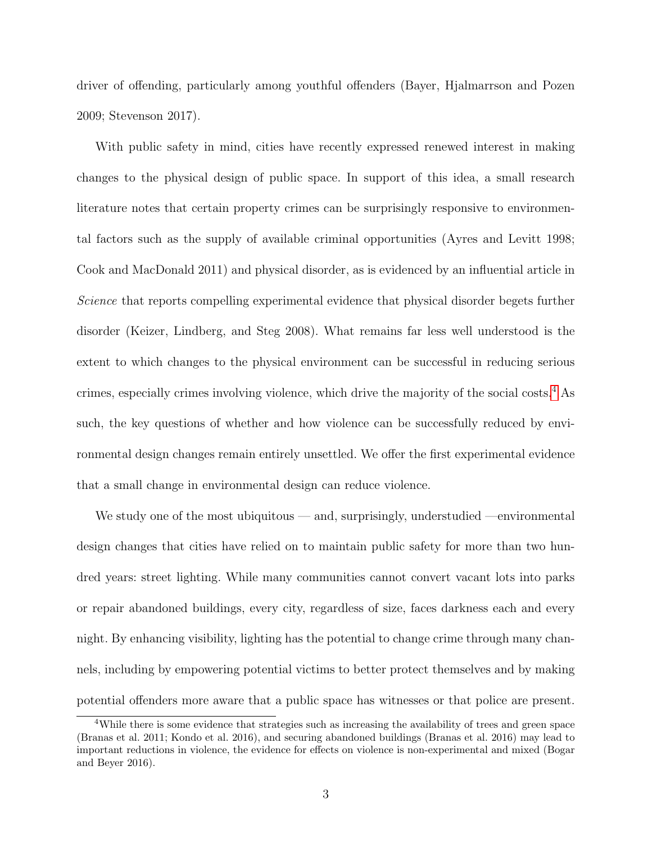driver of offending, particularly among youthful offenders (Bayer, Hjalmarrson and Pozen 2009; Stevenson 2017).

With public safety in mind, cities have recently expressed renewed interest in making changes to the physical design of public space. In support of this idea, a small research literature notes that certain property crimes can be surprisingly responsive to environmental factors such as the supply of available criminal opportunities (Ayres and Levitt 1998; Cook and MacDonald 2011) and physical disorder, as is evidenced by an influential article in Science that reports compelling experimental evidence that physical disorder begets further disorder (Keizer, Lindberg, and Steg 2008). What remains far less well understood is the extent to which changes to the physical environment can be successful in reducing serious crimes, especially crimes involving violence, which drive the majority of the social costs.[4](#page-3-0) As such, the key questions of whether and how violence can be successfully reduced by environmental design changes remain entirely unsettled. We offer the first experimental evidence that a small change in environmental design can reduce violence.

We study one of the most ubiquitous — and, surprisingly, understudied —environmental design changes that cities have relied on to maintain public safety for more than two hundred years: street lighting. While many communities cannot convert vacant lots into parks or repair abandoned buildings, every city, regardless of size, faces darkness each and every night. By enhancing visibility, lighting has the potential to change crime through many channels, including by empowering potential victims to better protect themselves and by making potential offenders more aware that a public space has witnesses or that police are present.

<span id="page-3-0"></span><sup>&</sup>lt;sup>4</sup>While there is some evidence that strategies such as increasing the availability of trees and green space (Branas et al. 2011; Kondo et al. 2016), and securing abandoned buildings (Branas et al. 2016) may lead to important reductions in violence, the evidence for effects on violence is non-experimental and mixed (Bogar and Beyer 2016).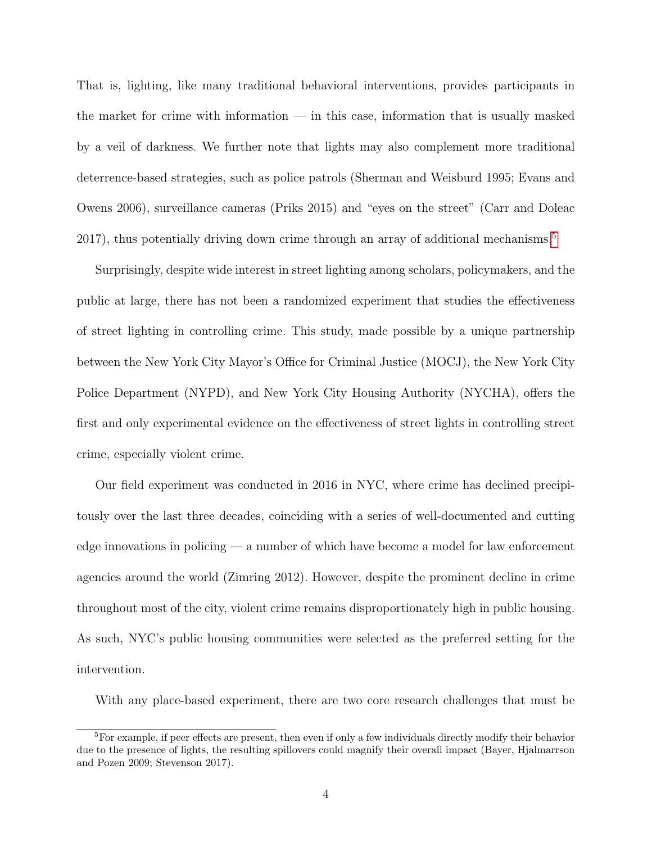That is, lighting, like many traditional behavioral interventions, provides participants in the market for crime with information — in this case, information that is usually masked by a veil of darkness. We further note that lights may also complement more traditional deterrence-based strategies, such as police patrols (Sherman and Weisburd 1995; Evans and Owens 2006), surveillance cameras (Priks 2015) and "eyes on the street" (Carr and Doleac 2017), thus potentially driving down crime through an array of additional mechanisms.<sup>[5](#page-4-0)</sup>

Surprisingly, despite wide interest in street lighting among scholars, policymakers, and the public at large, there has not been a randomized experiment that studies the effectiveness of street lighting in controlling crime. This study, made possible by a unique partnership between the New York City Mayor's Office for Criminal Justice (MOCJ), the New York City Police Department (NYPD), and New York City Housing Authority (NYCHA), offers the first and only experimental evidence on the effectiveness of street lights in controlling street crime, especially violent crime.

Our field experiment was conducted in 2016 in NYC, where crime has declined precipitously over the last three decades, coinciding with a series of well-documented and cutting edge innovations in policing — a number of which have become a model for law enforcement agencies around the world (Zimring 2012). However, despite the prominent decline in crime throughout most of the city, violent crime remains disproportionately high in public housing. As such, NYC's public housing communities were selected as the preferred setting for the intervention.

With any place-based experiment, there are two core research challenges that must be

<span id="page-4-0"></span><sup>5</sup>For example, if peer effects are present, then even if only a few individuals directly modify their behavior due to the presence of lights, the resulting spillovers could magnify their overall impact (Bayer, Hjalmarrson and Pozen 2009; Stevenson 2017).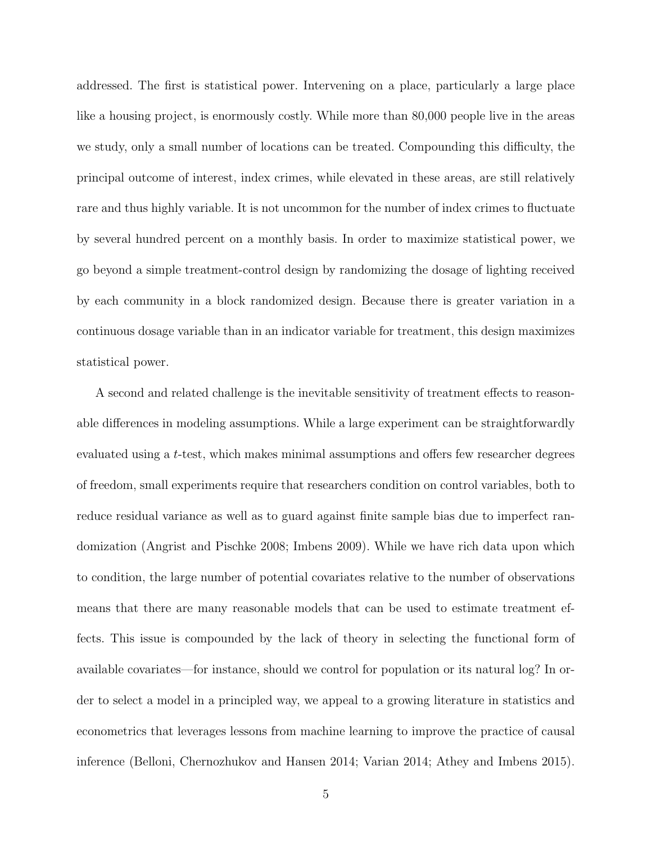addressed. The first is statistical power. Intervening on a place, particularly a large place like a housing project, is enormously costly. While more than 80,000 people live in the areas we study, only a small number of locations can be treated. Compounding this difficulty, the principal outcome of interest, index crimes, while elevated in these areas, are still relatively rare and thus highly variable. It is not uncommon for the number of index crimes to fluctuate by several hundred percent on a monthly basis. In order to maximize statistical power, we go beyond a simple treatment-control design by randomizing the dosage of lighting received by each community in a block randomized design. Because there is greater variation in a continuous dosage variable than in an indicator variable for treatment, this design maximizes statistical power.

A second and related challenge is the inevitable sensitivity of treatment effects to reasonable differences in modeling assumptions. While a large experiment can be straightforwardly evaluated using a t-test, which makes minimal assumptions and offers few researcher degrees of freedom, small experiments require that researchers condition on control variables, both to reduce residual variance as well as to guard against finite sample bias due to imperfect randomization (Angrist and Pischke 2008; Imbens 2009). While we have rich data upon which to condition, the large number of potential covariates relative to the number of observations means that there are many reasonable models that can be used to estimate treatment effects. This issue is compounded by the lack of theory in selecting the functional form of available covariates—for instance, should we control for population or its natural log? In order to select a model in a principled way, we appeal to a growing literature in statistics and econometrics that leverages lessons from machine learning to improve the practice of causal inference (Belloni, Chernozhukov and Hansen 2014; Varian 2014; Athey and Imbens 2015).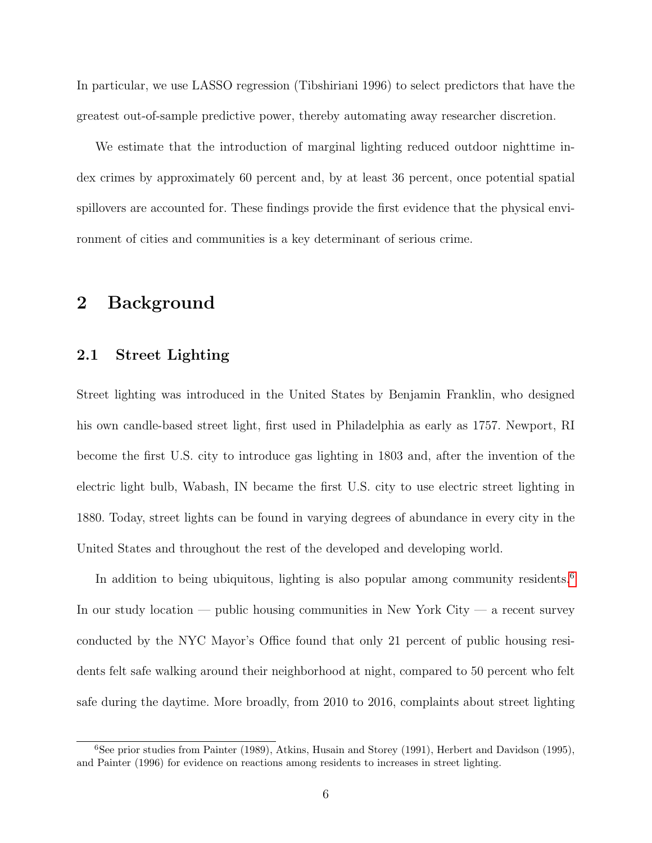In particular, we use LASSO regression (Tibshiriani 1996) to select predictors that have the greatest out-of-sample predictive power, thereby automating away researcher discretion.

We estimate that the introduction of marginal lighting reduced outdoor nighttime index crimes by approximately 60 percent and, by at least 36 percent, once potential spatial spillovers are accounted for. These findings provide the first evidence that the physical environment of cities and communities is a key determinant of serious crime.

### 2 Background

#### 2.1 Street Lighting

Street lighting was introduced in the United States by Benjamin Franklin, who designed his own candle-based street light, first used in Philadelphia as early as 1757. Newport, RI become the first U.S. city to introduce gas lighting in 1803 and, after the invention of the electric light bulb, Wabash, IN became the first U.S. city to use electric street lighting in 1880. Today, street lights can be found in varying degrees of abundance in every city in the United States and throughout the rest of the developed and developing world.

In addition to being ubiquitous, lighting is also popular among community residents.<sup>[6](#page-6-0)</sup> In our study location — public housing communities in New York City — a recent survey conducted by the NYC Mayor's Office found that only 21 percent of public housing residents felt safe walking around their neighborhood at night, compared to 50 percent who felt safe during the daytime. More broadly, from 2010 to 2016, complaints about street lighting

<span id="page-6-0"></span><sup>6</sup>See prior studies from Painter (1989), Atkins, Husain and Storey (1991), Herbert and Davidson (1995), and Painter (1996) for evidence on reactions among residents to increases in street lighting.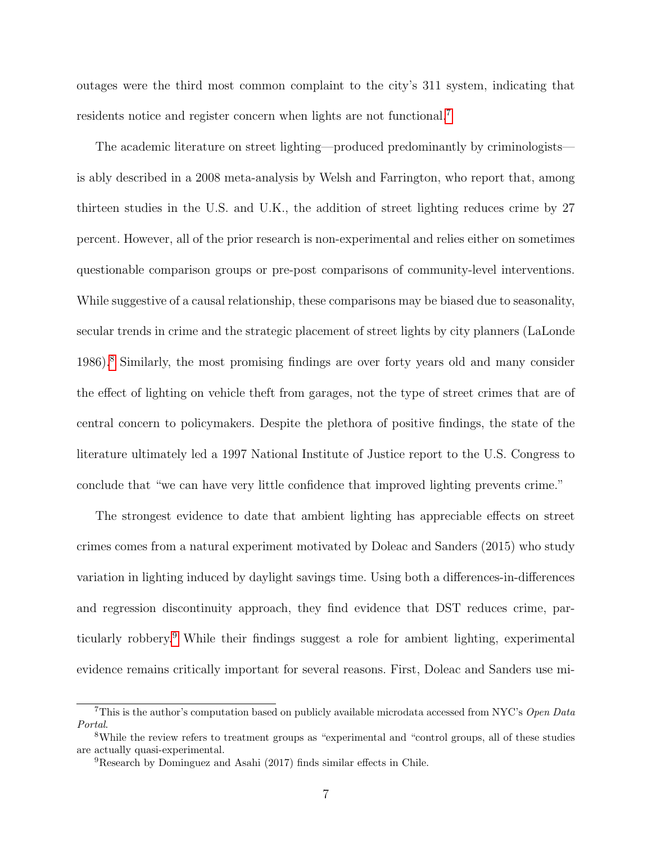outages were the third most common complaint to the city's 311 system, indicating that residents notice and register concern when lights are not functional.<sup>[7](#page-7-0)</sup>

The academic literature on street lighting—produced predominantly by criminologists is ably described in a 2008 meta-analysis by Welsh and Farrington, who report that, among thirteen studies in the U.S. and U.K., the addition of street lighting reduces crime by 27 percent. However, all of the prior research is non-experimental and relies either on sometimes questionable comparison groups or pre-post comparisons of community-level interventions. While suggestive of a causal relationship, these comparisons may be biased due to seasonality, secular trends in crime and the strategic placement of street lights by city planners (LaLonde 1986).[8](#page-7-1) Similarly, the most promising findings are over forty years old and many consider the effect of lighting on vehicle theft from garages, not the type of street crimes that are of central concern to policymakers. Despite the plethora of positive findings, the state of the literature ultimately led a 1997 National Institute of Justice report to the U.S. Congress to conclude that "we can have very little confidence that improved lighting prevents crime."

The strongest evidence to date that ambient lighting has appreciable effects on street crimes comes from a natural experiment motivated by Doleac and Sanders (2015) who study variation in lighting induced by daylight savings time. Using both a differences-in-differences and regression discontinuity approach, they find evidence that DST reduces crime, particularly robbery.[9](#page-7-2) While their findings suggest a role for ambient lighting, experimental evidence remains critically important for several reasons. First, Doleac and Sanders use mi-

<span id="page-7-0"></span><sup>&</sup>lt;sup>7</sup>This is the author's computation based on publicly available microdata accessed from NYC's Open Data Portal.

<span id="page-7-1"></span><sup>8</sup>While the review refers to treatment groups as "experimental and "control groups, all of these studies are actually quasi-experimental.

<span id="page-7-2"></span><sup>9</sup>Research by Dominguez and Asahi (2017) finds similar effects in Chile.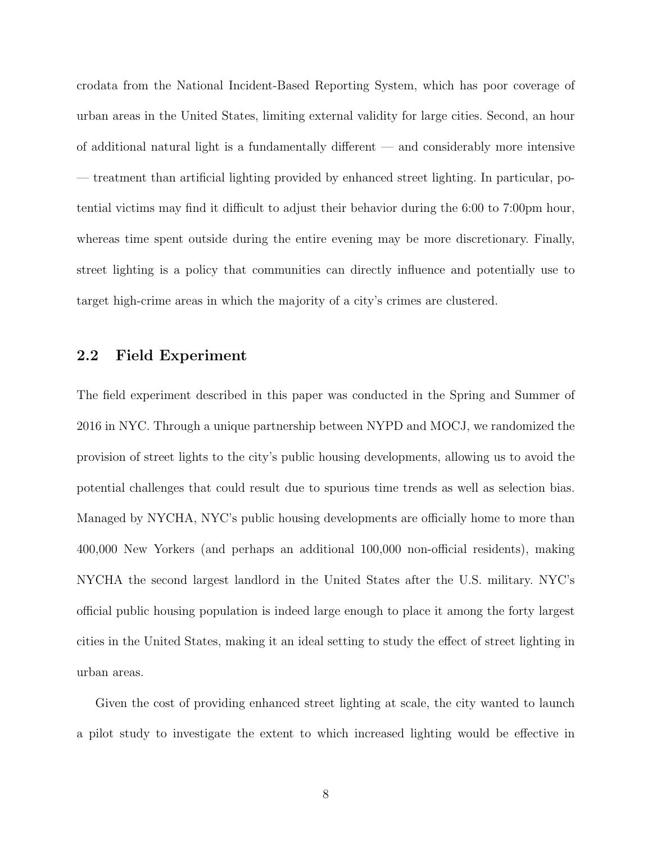crodata from the National Incident-Based Reporting System, which has poor coverage of urban areas in the United States, limiting external validity for large cities. Second, an hour of additional natural light is a fundamentally different — and considerably more intensive — treatment than artificial lighting provided by enhanced street lighting. In particular, potential victims may find it difficult to adjust their behavior during the 6:00 to 7:00pm hour, whereas time spent outside during the entire evening may be more discretionary. Finally, street lighting is a policy that communities can directly influence and potentially use to target high-crime areas in which the majority of a city's crimes are clustered.

### 2.2 Field Experiment

The field experiment described in this paper was conducted in the Spring and Summer of 2016 in NYC. Through a unique partnership between NYPD and MOCJ, we randomized the provision of street lights to the city's public housing developments, allowing us to avoid the potential challenges that could result due to spurious time trends as well as selection bias. Managed by NYCHA, NYC's public housing developments are officially home to more than 400,000 New Yorkers (and perhaps an additional 100,000 non-official residents), making NYCHA the second largest landlord in the United States after the U.S. military. NYC's official public housing population is indeed large enough to place it among the forty largest cities in the United States, making it an ideal setting to study the effect of street lighting in urban areas.

Given the cost of providing enhanced street lighting at scale, the city wanted to launch a pilot study to investigate the extent to which increased lighting would be effective in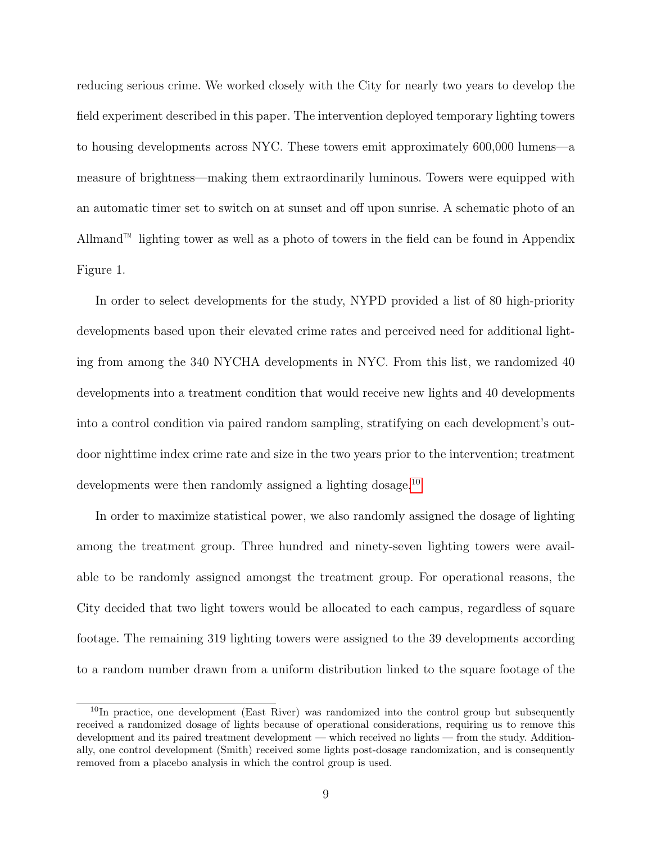reducing serious crime. We worked closely with the City for nearly two years to develop the field experiment described in this paper. The intervention deployed temporary lighting towers to housing developments across NYC. These towers emit approximately 600,000 lumens—a measure of brightness—making them extraordinarily luminous. Towers were equipped with an automatic timer set to switch on at sunset and off upon sunrise. A schematic photo of an Allmand™ lighting tower as well as a photo of towers in the field can be found in Appendix Figure 1.

In order to select developments for the study, NYPD provided a list of 80 high-priority developments based upon their elevated crime rates and perceived need for additional lighting from among the 340 NYCHA developments in NYC. From this list, we randomized 40 developments into a treatment condition that would receive new lights and 40 developments into a control condition via paired random sampling, stratifying on each development's outdoor nighttime index crime rate and size in the two years prior to the intervention; treatment developments were then randomly assigned a lighting dosage.<sup>[10](#page-9-0)</sup>

In order to maximize statistical power, we also randomly assigned the dosage of lighting among the treatment group. Three hundred and ninety-seven lighting towers were available to be randomly assigned amongst the treatment group. For operational reasons, the City decided that two light towers would be allocated to each campus, regardless of square footage. The remaining 319 lighting towers were assigned to the 39 developments according to a random number drawn from a uniform distribution linked to the square footage of the

<span id="page-9-0"></span><sup>&</sup>lt;sup>10</sup>In practice, one development (East River) was randomized into the control group but subsequently received a randomized dosage of lights because of operational considerations, requiring us to remove this development and its paired treatment development — which received no lights — from the study. Additionally, one control development (Smith) received some lights post-dosage randomization, and is consequently removed from a placebo analysis in which the control group is used.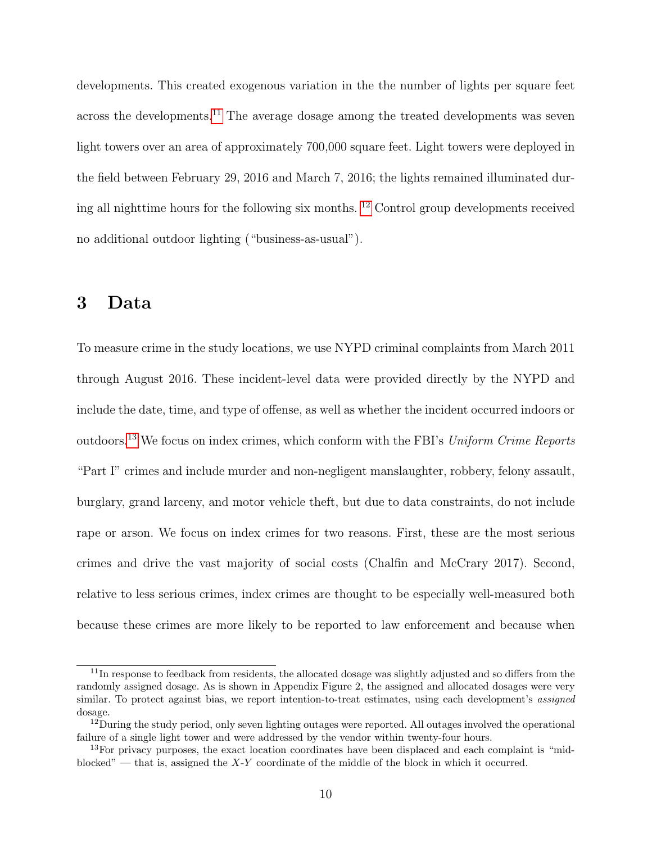developments. This created exogenous variation in the the number of lights per square feet across the developments.<sup>[11](#page-10-0)</sup> The average dosage among the treated developments was seven light towers over an area of approximately 700,000 square feet. Light towers were deployed in the field between February 29, 2016 and March 7, 2016; the lights remained illuminated during all nighttime hours for the following six months. [12](#page-10-1) Control group developments received no additional outdoor lighting ("business-as-usual").

# 3 Data

To measure crime in the study locations, we use NYPD criminal complaints from March 2011 through August 2016. These incident-level data were provided directly by the NYPD and include the date, time, and type of offense, as well as whether the incident occurred indoors or outdoors.[13](#page-10-2) We focus on index crimes, which conform with the FBI's Uniform Crime Reports "Part I" crimes and include murder and non-negligent manslaughter, robbery, felony assault, burglary, grand larceny, and motor vehicle theft, but due to data constraints, do not include rape or arson. We focus on index crimes for two reasons. First, these are the most serious crimes and drive the vast majority of social costs (Chalfin and McCrary 2017). Second, relative to less serious crimes, index crimes are thought to be especially well-measured both because these crimes are more likely to be reported to law enforcement and because when

<span id="page-10-0"></span><sup>&</sup>lt;sup>11</sup>In response to feedback from residents, the allocated dosage was slightly adjusted and so differs from the randomly assigned dosage. As is shown in Appendix Figure 2, the assigned and allocated dosages were very similar. To protect against bias, we report intention-to-treat estimates, using each development's *assigned* dosage.

<span id="page-10-1"></span><sup>&</sup>lt;sup>12</sup>During the study period, only seven lighting outages were reported. All outages involved the operational failure of a single light tower and were addressed by the vendor within twenty-four hours.

<span id="page-10-2"></span><sup>&</sup>lt;sup>13</sup>For privacy purposes, the exact location coordinates have been displaced and each complaint is "midblocked" — that is, assigned the  $X-Y$  coordinate of the middle of the block in which it occurred.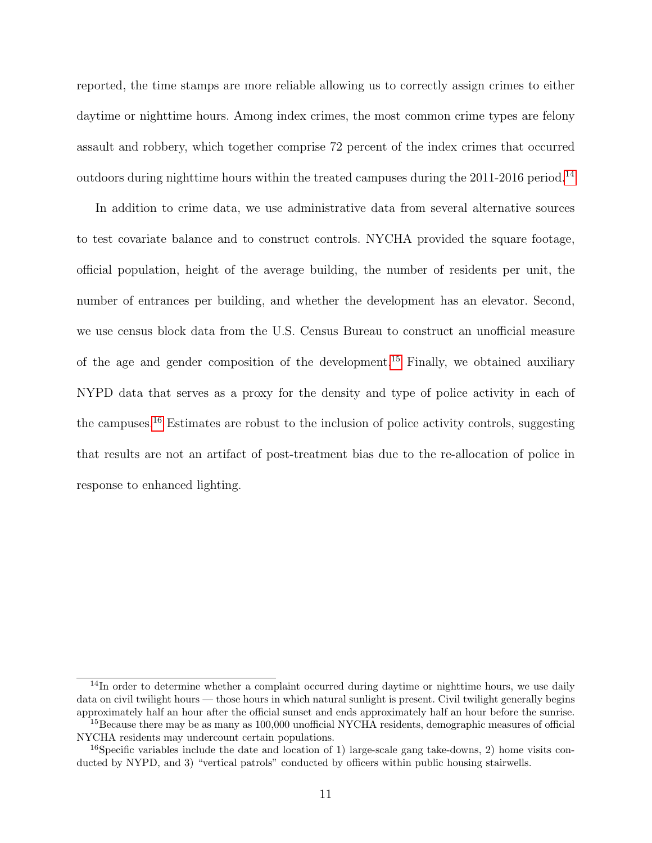reported, the time stamps are more reliable allowing us to correctly assign crimes to either daytime or nighttime hours. Among index crimes, the most common crime types are felony assault and robbery, which together comprise 72 percent of the index crimes that occurred outdoors during nighttime hours within the treated campuses during the 2011-2016 period.<sup>[14](#page-11-0)</sup>

In addition to crime data, we use administrative data from several alternative sources to test covariate balance and to construct controls. NYCHA provided the square footage, official population, height of the average building, the number of residents per unit, the number of entrances per building, and whether the development has an elevator. Second, we use census block data from the U.S. Census Bureau to construct an unofficial measure of the age and gender composition of the development.[15](#page-11-1) Finally, we obtained auxiliary NYPD data that serves as a proxy for the density and type of police activity in each of the campuses.[16](#page-11-2) Estimates are robust to the inclusion of police activity controls, suggesting that results are not an artifact of post-treatment bias due to the re-allocation of police in response to enhanced lighting.

<span id="page-11-0"></span> $14$ In order to determine whether a complaint occurred during daytime or nighttime hours, we use daily data on civil twilight hours — those hours in which natural sunlight is present. Civil twilight generally begins approximately half an hour after the official sunset and ends approximately half an hour before the sunrise.

<span id="page-11-1"></span><sup>&</sup>lt;sup>15</sup>Because there may be as many as 100,000 unofficial NYCHA residents, demographic measures of official NYCHA residents may undercount certain populations.

<span id="page-11-2"></span><sup>&</sup>lt;sup>16</sup>Specific variables include the date and location of 1) large-scale gang take-downs, 2) home visits conducted by NYPD, and 3) "vertical patrols" conducted by officers within public housing stairwells.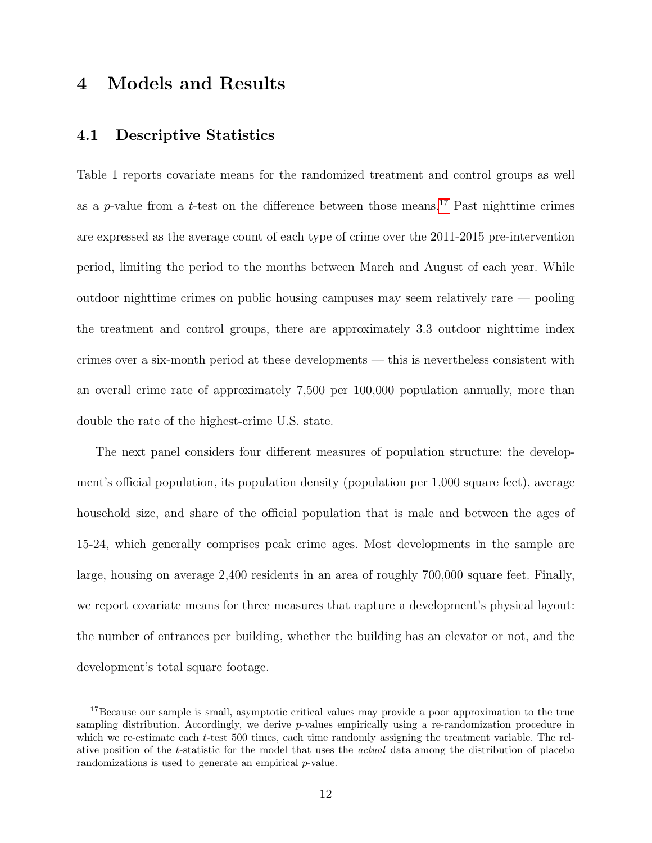# 4 Models and Results

### 4.1 Descriptive Statistics

Table 1 reports covariate means for the randomized treatment and control groups as well as a p-value from a t-test on the difference between those means.<sup>[17](#page-12-0)</sup> Past nighttime crimes are expressed as the average count of each type of crime over the 2011-2015 pre-intervention period, limiting the period to the months between March and August of each year. While outdoor nighttime crimes on public housing campuses may seem relatively rare — pooling the treatment and control groups, there are approximately 3.3 outdoor nighttime index crimes over a six-month period at these developments — this is nevertheless consistent with an overall crime rate of approximately 7,500 per 100,000 population annually, more than double the rate of the highest-crime U.S. state.

The next panel considers four different measures of population structure: the development's official population, its population density (population per 1,000 square feet), average household size, and share of the official population that is male and between the ages of 15-24, which generally comprises peak crime ages. Most developments in the sample are large, housing on average 2,400 residents in an area of roughly 700,000 square feet. Finally, we report covariate means for three measures that capture a development's physical layout: the number of entrances per building, whether the building has an elevator or not, and the development's total square footage.

<span id="page-12-0"></span><sup>17</sup>Because our sample is small, asymptotic critical values may provide a poor approximation to the true sampling distribution. Accordingly, we derive p-values empirically using a re-randomization procedure in which we re-estimate each t-test 500 times, each time randomly assigning the treatment variable. The relative position of the t-statistic for the model that uses the actual data among the distribution of placebo randomizations is used to generate an empirical p-value.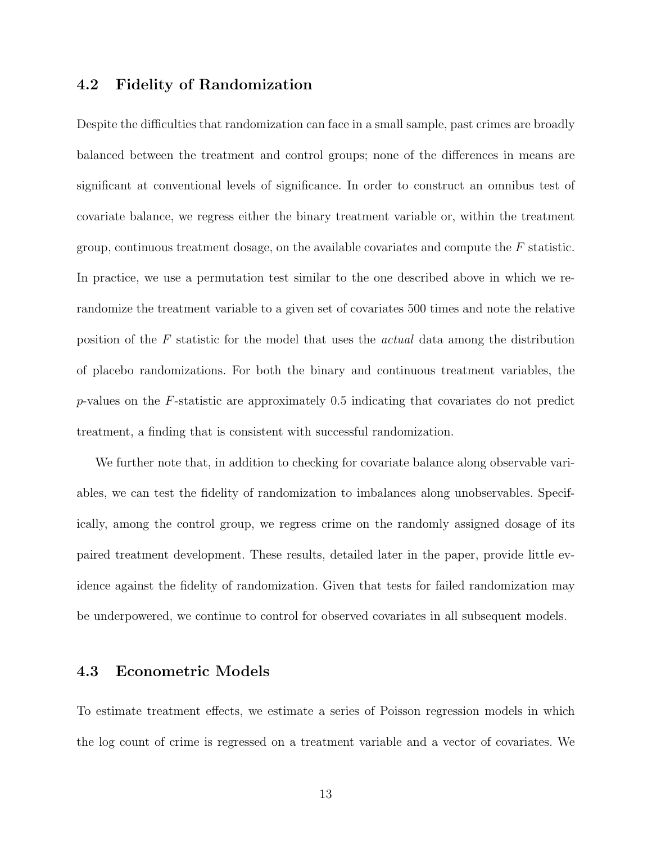### 4.2 Fidelity of Randomization

Despite the difficulties that randomization can face in a small sample, past crimes are broadly balanced between the treatment and control groups; none of the differences in means are significant at conventional levels of significance. In order to construct an omnibus test of covariate balance, we regress either the binary treatment variable or, within the treatment group, continuous treatment dosage, on the available covariates and compute the  $F$  statistic. In practice, we use a permutation test similar to the one described above in which we rerandomize the treatment variable to a given set of covariates 500 times and note the relative position of the F statistic for the model that uses the actual data among the distribution of placebo randomizations. For both the binary and continuous treatment variables, the  $p$ -values on the F-statistic are approximately 0.5 indicating that covariates do not predict treatment, a finding that is consistent with successful randomization.

We further note that, in addition to checking for covariate balance along observable variables, we can test the fidelity of randomization to imbalances along unobservables. Specifically, among the control group, we regress crime on the randomly assigned dosage of its paired treatment development. These results, detailed later in the paper, provide little evidence against the fidelity of randomization. Given that tests for failed randomization may be underpowered, we continue to control for observed covariates in all subsequent models.

#### 4.3 Econometric Models

To estimate treatment effects, we estimate a series of Poisson regression models in which the log count of crime is regressed on a treatment variable and a vector of covariates. We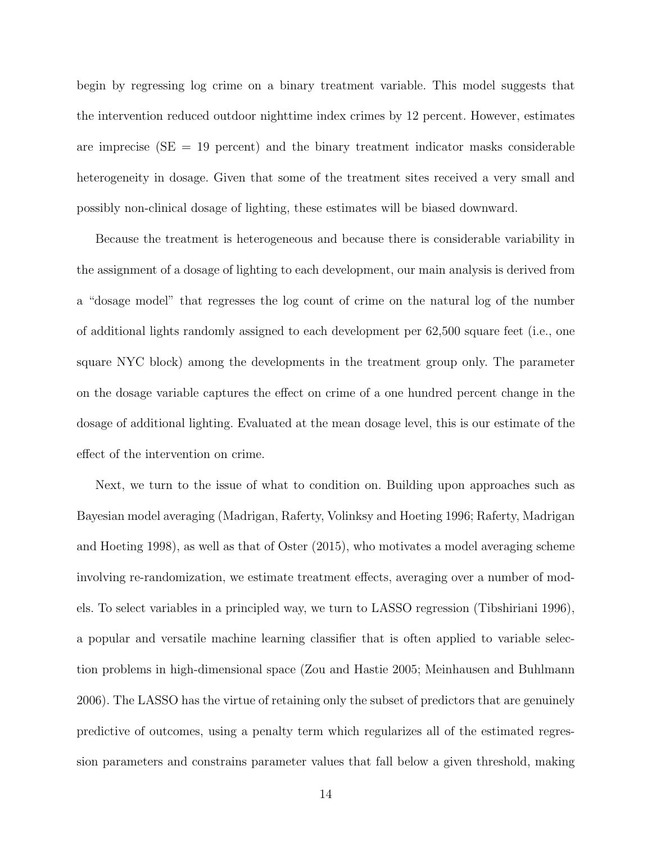begin by regressing log crime on a binary treatment variable. This model suggests that the intervention reduced outdoor nighttime index crimes by 12 percent. However, estimates are imprecise ( $SE = 19$  percent) and the binary treatment indicator masks considerable heterogeneity in dosage. Given that some of the treatment sites received a very small and possibly non-clinical dosage of lighting, these estimates will be biased downward.

Because the treatment is heterogeneous and because there is considerable variability in the assignment of a dosage of lighting to each development, our main analysis is derived from a "dosage model" that regresses the log count of crime on the natural log of the number of additional lights randomly assigned to each development per 62,500 square feet (i.e., one square NYC block) among the developments in the treatment group only. The parameter on the dosage variable captures the effect on crime of a one hundred percent change in the dosage of additional lighting. Evaluated at the mean dosage level, this is our estimate of the effect of the intervention on crime.

Next, we turn to the issue of what to condition on. Building upon approaches such as Bayesian model averaging (Madrigan, Raferty, Volinksy and Hoeting 1996; Raferty, Madrigan and Hoeting 1998), as well as that of Oster (2015), who motivates a model averaging scheme involving re-randomization, we estimate treatment effects, averaging over a number of models. To select variables in a principled way, we turn to LASSO regression (Tibshiriani 1996), a popular and versatile machine learning classifier that is often applied to variable selection problems in high-dimensional space (Zou and Hastie 2005; Meinhausen and Buhlmann 2006). The LASSO has the virtue of retaining only the subset of predictors that are genuinely predictive of outcomes, using a penalty term which regularizes all of the estimated regression parameters and constrains parameter values that fall below a given threshold, making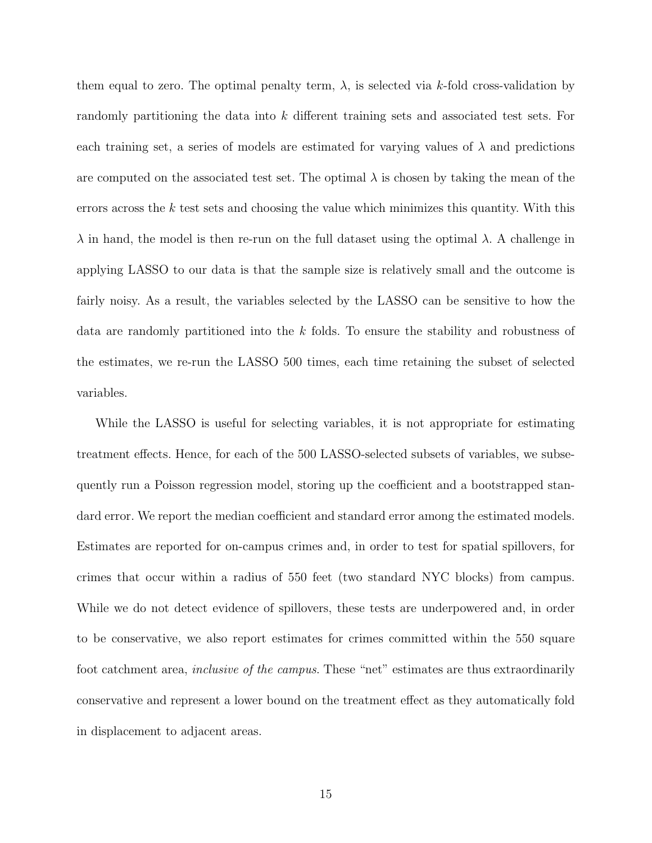them equal to zero. The optimal penalty term,  $\lambda$ , is selected via k-fold cross-validation by randomly partitioning the data into k different training sets and associated test sets. For each training set, a series of models are estimated for varying values of  $\lambda$  and predictions are computed on the associated test set. The optimal  $\lambda$  is chosen by taking the mean of the errors across the  $k$  test sets and choosing the value which minimizes this quantity. With this  $\lambda$  in hand, the model is then re-run on the full dataset using the optimal  $\lambda$ . A challenge in applying LASSO to our data is that the sample size is relatively small and the outcome is fairly noisy. As a result, the variables selected by the LASSO can be sensitive to how the data are randomly partitioned into the k folds. To ensure the stability and robustness of the estimates, we re-run the LASSO 500 times, each time retaining the subset of selected variables.

While the LASSO is useful for selecting variables, it is not appropriate for estimating treatment effects. Hence, for each of the 500 LASSO-selected subsets of variables, we subsequently run a Poisson regression model, storing up the coefficient and a bootstrapped standard error. We report the median coefficient and standard error among the estimated models. Estimates are reported for on-campus crimes and, in order to test for spatial spillovers, for crimes that occur within a radius of 550 feet (two standard NYC blocks) from campus. While we do not detect evidence of spillovers, these tests are underpowered and, in order to be conservative, we also report estimates for crimes committed within the 550 square foot catchment area, *inclusive of the campus*. These "net" estimates are thus extraordinarily conservative and represent a lower bound on the treatment effect as they automatically fold in displacement to adjacent areas.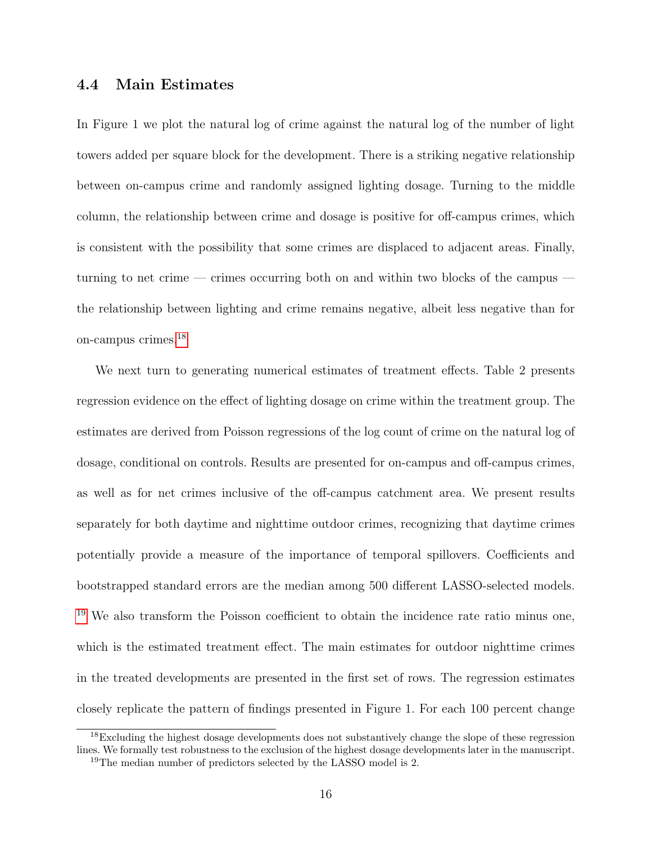### 4.4 Main Estimates

In Figure 1 we plot the natural log of crime against the natural log of the number of light towers added per square block for the development. There is a striking negative relationship between on-campus crime and randomly assigned lighting dosage. Turning to the middle column, the relationship between crime and dosage is positive for off-campus crimes, which is consistent with the possibility that some crimes are displaced to adjacent areas. Finally, turning to net crime — crimes occurring both on and within two blocks of the campus the relationship between lighting and crime remains negative, albeit less negative than for on-campus crimes.[18](#page-16-0)

We next turn to generating numerical estimates of treatment effects. Table 2 presents regression evidence on the effect of lighting dosage on crime within the treatment group. The estimates are derived from Poisson regressions of the log count of crime on the natural log of dosage, conditional on controls. Results are presented for on-campus and off-campus crimes, as well as for net crimes inclusive of the off-campus catchment area. We present results separately for both daytime and nighttime outdoor crimes, recognizing that daytime crimes potentially provide a measure of the importance of temporal spillovers. Coefficients and bootstrapped standard errors are the median among 500 different LASSO-selected models. <sup>[19](#page-16-1)</sup> We also transform the Poisson coefficient to obtain the incidence rate ratio minus one, which is the estimated treatment effect. The main estimates for outdoor nighttime crimes in the treated developments are presented in the first set of rows. The regression estimates closely replicate the pattern of findings presented in Figure 1. For each 100 percent change

<span id="page-16-0"></span><sup>&</sup>lt;sup>18</sup>Excluding the highest dosage developments does not substantively change the slope of these regression lines. We formally test robustness to the exclusion of the highest dosage developments later in the manuscript.

<span id="page-16-1"></span><sup>19</sup>The median number of predictors selected by the LASSO model is 2.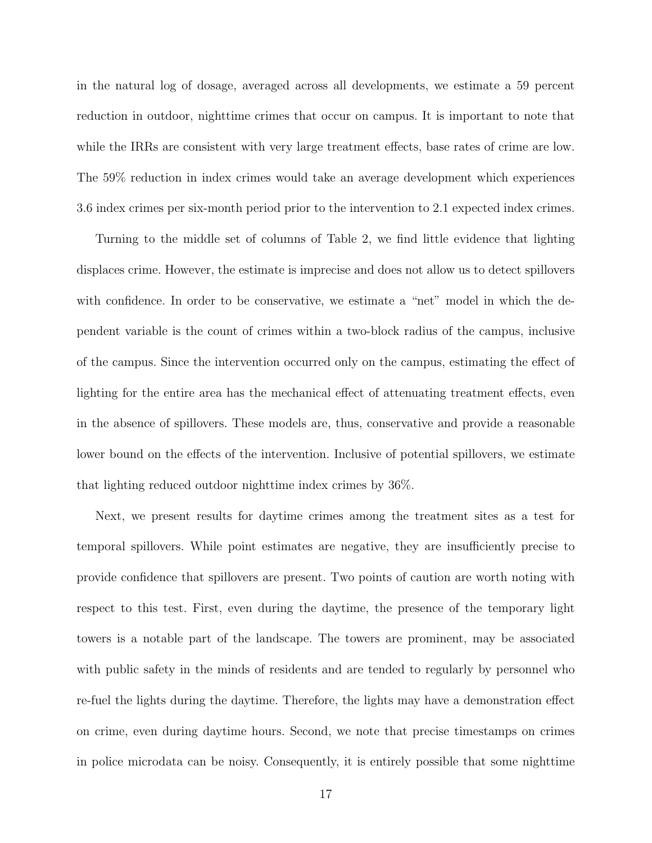in the natural log of dosage, averaged across all developments, we estimate a 59 percent reduction in outdoor, nighttime crimes that occur on campus. It is important to note that while the IRRs are consistent with very large treatment effects, base rates of crime are low. The 59% reduction in index crimes would take an average development which experiences 3.6 index crimes per six-month period prior to the intervention to 2.1 expected index crimes.

Turning to the middle set of columns of Table 2, we find little evidence that lighting displaces crime. However, the estimate is imprecise and does not allow us to detect spillovers with confidence. In order to be conservative, we estimate a "net" model in which the dependent variable is the count of crimes within a two-block radius of the campus, inclusive of the campus. Since the intervention occurred only on the campus, estimating the effect of lighting for the entire area has the mechanical effect of attenuating treatment effects, even in the absence of spillovers. These models are, thus, conservative and provide a reasonable lower bound on the effects of the intervention. Inclusive of potential spillovers, we estimate that lighting reduced outdoor nighttime index crimes by 36%.

Next, we present results for daytime crimes among the treatment sites as a test for temporal spillovers. While point estimates are negative, they are insufficiently precise to provide confidence that spillovers are present. Two points of caution are worth noting with respect to this test. First, even during the daytime, the presence of the temporary light towers is a notable part of the landscape. The towers are prominent, may be associated with public safety in the minds of residents and are tended to regularly by personnel who re-fuel the lights during the daytime. Therefore, the lights may have a demonstration effect on crime, even during daytime hours. Second, we note that precise timestamps on crimes in police microdata can be noisy. Consequently, it is entirely possible that some nighttime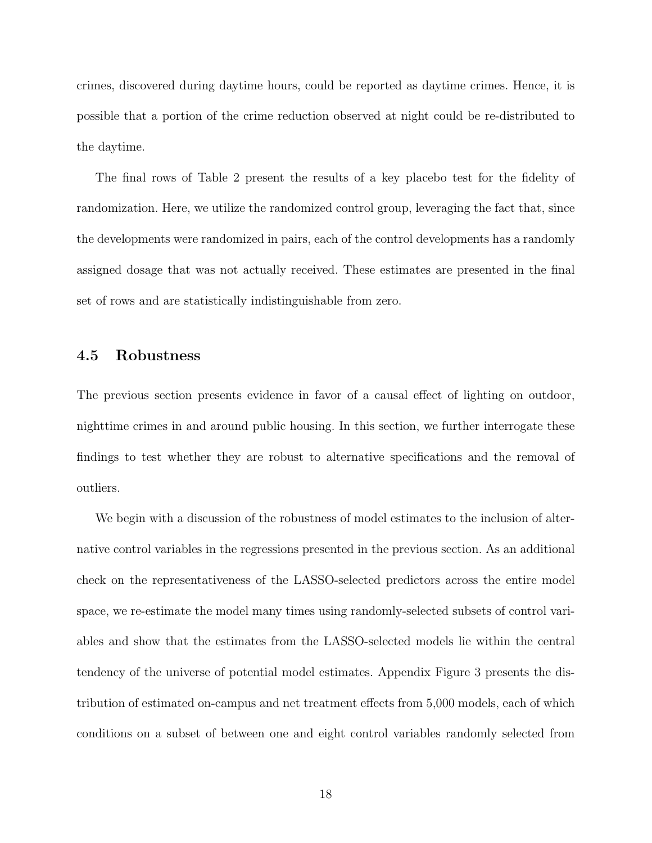crimes, discovered during daytime hours, could be reported as daytime crimes. Hence, it is possible that a portion of the crime reduction observed at night could be re-distributed to the daytime.

The final rows of Table 2 present the results of a key placebo test for the fidelity of randomization. Here, we utilize the randomized control group, leveraging the fact that, since the developments were randomized in pairs, each of the control developments has a randomly assigned dosage that was not actually received. These estimates are presented in the final set of rows and are statistically indistinguishable from zero.

### 4.5 Robustness

The previous section presents evidence in favor of a causal effect of lighting on outdoor, nighttime crimes in and around public housing. In this section, we further interrogate these findings to test whether they are robust to alternative specifications and the removal of outliers.

We begin with a discussion of the robustness of model estimates to the inclusion of alternative control variables in the regressions presented in the previous section. As an additional check on the representativeness of the LASSO-selected predictors across the entire model space, we re-estimate the model many times using randomly-selected subsets of control variables and show that the estimates from the LASSO-selected models lie within the central tendency of the universe of potential model estimates. Appendix Figure 3 presents the distribution of estimated on-campus and net treatment effects from 5,000 models, each of which conditions on a subset of between one and eight control variables randomly selected from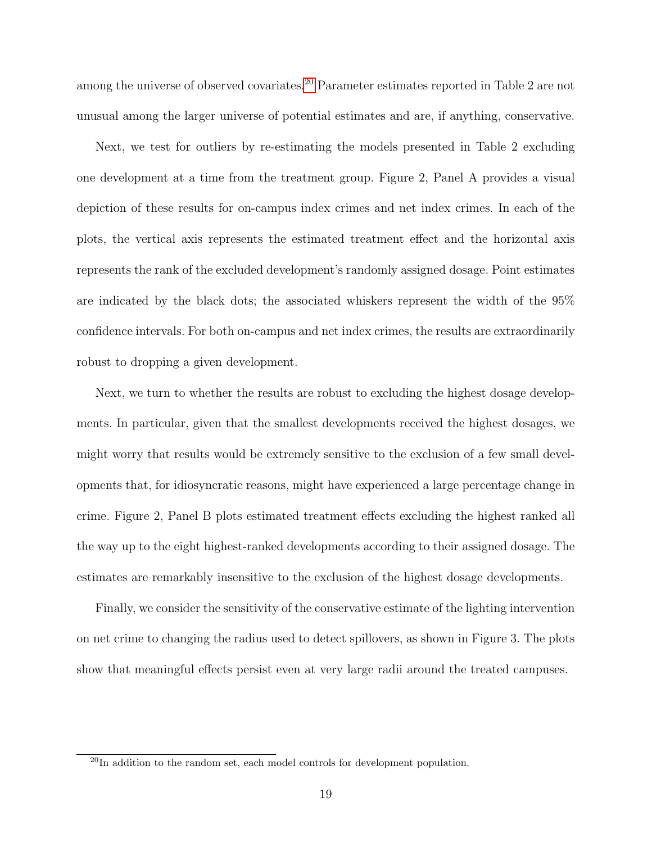among the universe of observed covariates.[20](#page-19-0) Parameter estimates reported in Table 2 are not unusual among the larger universe of potential estimates and are, if anything, conservative.

Next, we test for outliers by re-estimating the models presented in Table 2 excluding one development at a time from the treatment group. Figure 2, Panel A provides a visual depiction of these results for on-campus index crimes and net index crimes. In each of the plots, the vertical axis represents the estimated treatment effect and the horizontal axis represents the rank of the excluded development's randomly assigned dosage. Point estimates are indicated by the black dots; the associated whiskers represent the width of the 95% confidence intervals. For both on-campus and net index crimes, the results are extraordinarily robust to dropping a given development.

Next, we turn to whether the results are robust to excluding the highest dosage developments. In particular, given that the smallest developments received the highest dosages, we might worry that results would be extremely sensitive to the exclusion of a few small developments that, for idiosyncratic reasons, might have experienced a large percentage change in crime. Figure 2, Panel B plots estimated treatment effects excluding the highest ranked all the way up to the eight highest-ranked developments according to their assigned dosage. The estimates are remarkably insensitive to the exclusion of the highest dosage developments.

Finally, we consider the sensitivity of the conservative estimate of the lighting intervention on net crime to changing the radius used to detect spillovers, as shown in Figure 3. The plots show that meaningful effects persist even at very large radii around the treated campuses.

<span id="page-19-0"></span> $^{20}$ In addition to the random set, each model controls for development population.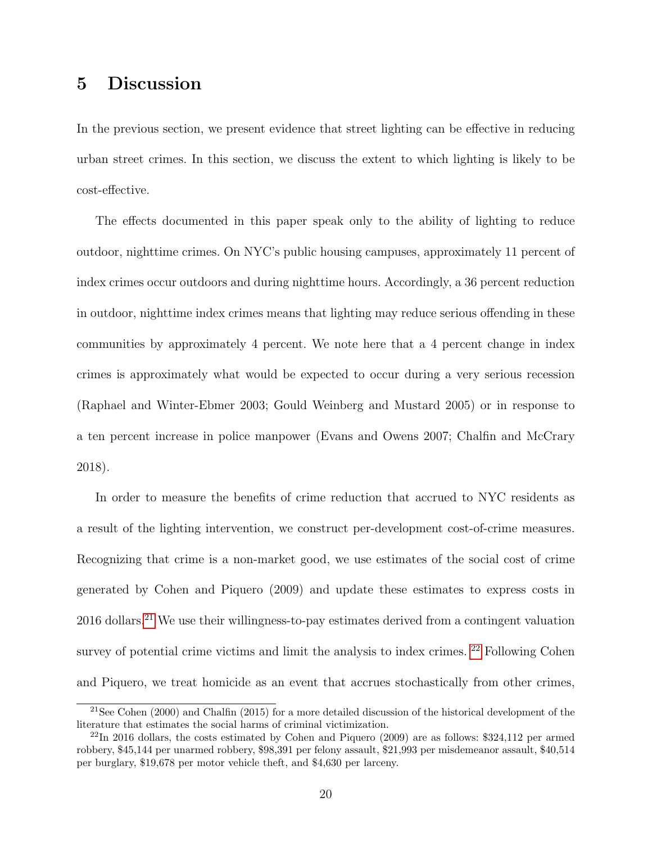# 5 Discussion

In the previous section, we present evidence that street lighting can be effective in reducing urban street crimes. In this section, we discuss the extent to which lighting is likely to be cost-effective.

The effects documented in this paper speak only to the ability of lighting to reduce outdoor, nighttime crimes. On NYC's public housing campuses, approximately 11 percent of index crimes occur outdoors and during nighttime hours. Accordingly, a 36 percent reduction in outdoor, nighttime index crimes means that lighting may reduce serious offending in these communities by approximately 4 percent. We note here that a 4 percent change in index crimes is approximately what would be expected to occur during a very serious recession (Raphael and Winter-Ebmer 2003; Gould Weinberg and Mustard 2005) or in response to a ten percent increase in police manpower (Evans and Owens 2007; Chalfin and McCrary 2018).

In order to measure the benefits of crime reduction that accrued to NYC residents as a result of the lighting intervention, we construct per-development cost-of-crime measures. Recognizing that crime is a non-market good, we use estimates of the social cost of crime generated by Cohen and Piquero (2009) and update these estimates to express costs in 2016 dollars.[21](#page-20-0) We use their willingness-to-pay estimates derived from a contingent valuation survey of potential crime victims and limit the analysis to index crimes. <sup>[22](#page-20-1)</sup> Following Cohen and Piquero, we treat homicide as an event that accrues stochastically from other crimes,

<span id="page-20-0"></span><sup>21</sup>See Cohen (2000) and Chalfin (2015) for a more detailed discussion of the historical development of the literature that estimates the social harms of criminal victimization.

<span id="page-20-1"></span><sup>22</sup>In 2016 dollars, the costs estimated by Cohen and Piquero (2009) are as follows: \$324,112 per armed robbery, \$45,144 per unarmed robbery, \$98,391 per felony assault, \$21,993 per misdemeanor assault, \$40,514 per burglary, \$19,678 per motor vehicle theft, and \$4,630 per larceny.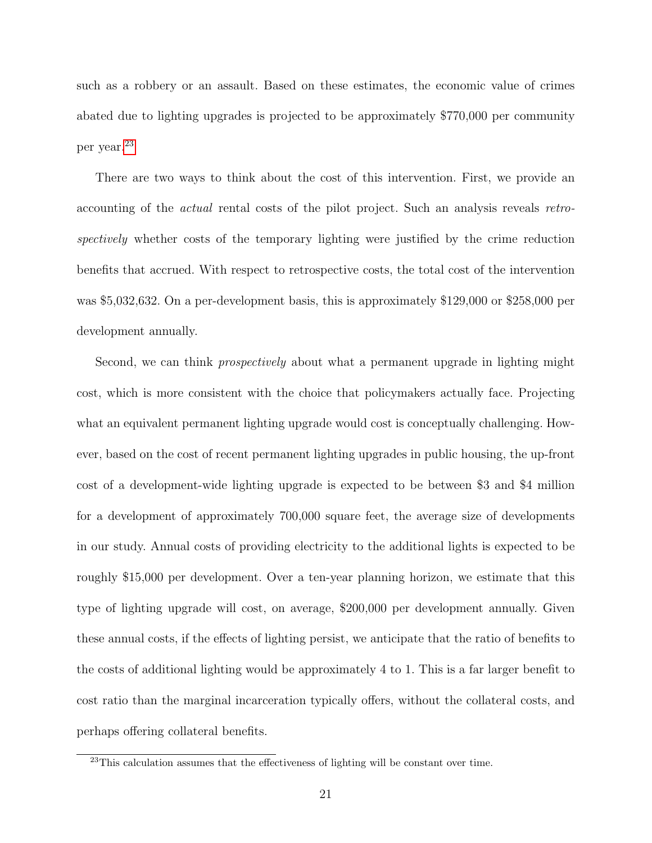such as a robbery or an assault. Based on these estimates, the economic value of crimes abated due to lighting upgrades is projected to be approximately \$770,000 per community per year.[23](#page-21-0)

There are two ways to think about the cost of this intervention. First, we provide an accounting of the actual rental costs of the pilot project. Such an analysis reveals retrospectively whether costs of the temporary lighting were justified by the crime reduction benefits that accrued. With respect to retrospective costs, the total cost of the intervention was \$5,032,632. On a per-development basis, this is approximately \$129,000 or \$258,000 per development annually.

Second, we can think *prospectively* about what a permanent upgrade in lighting might cost, which is more consistent with the choice that policymakers actually face. Projecting what an equivalent permanent lighting upgrade would cost is conceptually challenging. However, based on the cost of recent permanent lighting upgrades in public housing, the up-front cost of a development-wide lighting upgrade is expected to be between \$3 and \$4 million for a development of approximately 700,000 square feet, the average size of developments in our study. Annual costs of providing electricity to the additional lights is expected to be roughly \$15,000 per development. Over a ten-year planning horizon, we estimate that this type of lighting upgrade will cost, on average, \$200,000 per development annually. Given these annual costs, if the effects of lighting persist, we anticipate that the ratio of benefits to the costs of additional lighting would be approximately 4 to 1. This is a far larger benefit to cost ratio than the marginal incarceration typically offers, without the collateral costs, and perhaps offering collateral benefits.

<span id="page-21-0"></span><sup>23</sup>This calculation assumes that the effectiveness of lighting will be constant over time.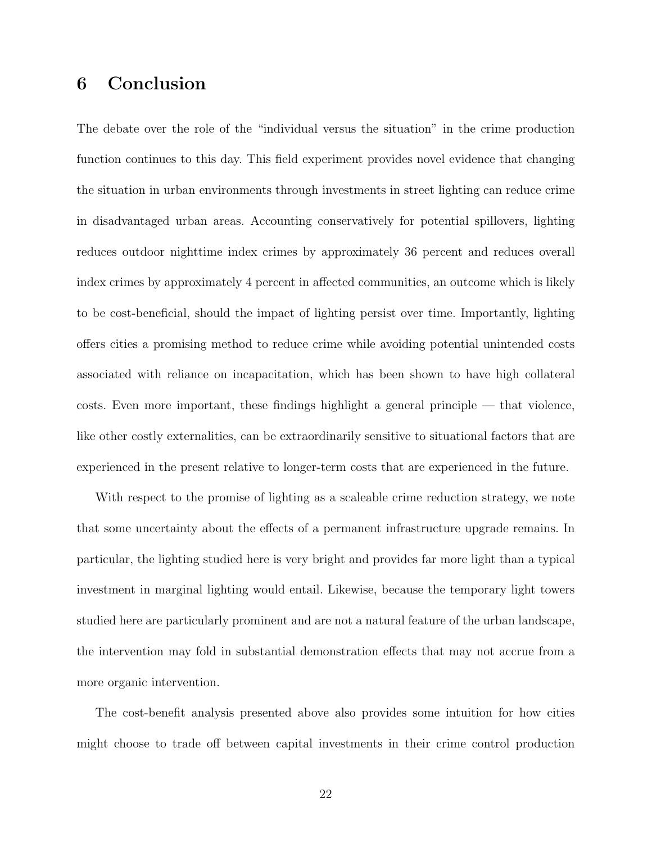# 6 Conclusion

The debate over the role of the "individual versus the situation" in the crime production function continues to this day. This field experiment provides novel evidence that changing the situation in urban environments through investments in street lighting can reduce crime in disadvantaged urban areas. Accounting conservatively for potential spillovers, lighting reduces outdoor nighttime index crimes by approximately 36 percent and reduces overall index crimes by approximately 4 percent in affected communities, an outcome which is likely to be cost-beneficial, should the impact of lighting persist over time. Importantly, lighting offers cities a promising method to reduce crime while avoiding potential unintended costs associated with reliance on incapacitation, which has been shown to have high collateral costs. Even more important, these findings highlight a general principle — that violence, like other costly externalities, can be extraordinarily sensitive to situational factors that are experienced in the present relative to longer-term costs that are experienced in the future.

With respect to the promise of lighting as a scaleable crime reduction strategy, we note that some uncertainty about the effects of a permanent infrastructure upgrade remains. In particular, the lighting studied here is very bright and provides far more light than a typical investment in marginal lighting would entail. Likewise, because the temporary light towers studied here are particularly prominent and are not a natural feature of the urban landscape, the intervention may fold in substantial demonstration effects that may not accrue from a more organic intervention.

The cost-benefit analysis presented above also provides some intuition for how cities might choose to trade off between capital investments in their crime control production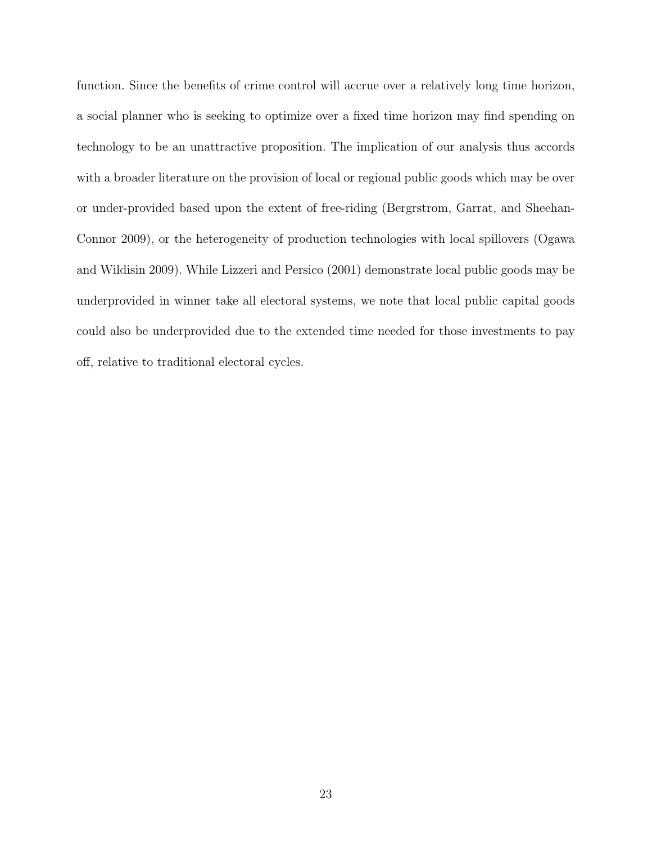function. Since the benefits of crime control will accrue over a relatively long time horizon, a social planner who is seeking to optimize over a fixed time horizon may find spending on technology to be an unattractive proposition. The implication of our analysis thus accords with a broader literature on the provision of local or regional public goods which may be over or under-provided based upon the extent of free-riding (Bergrstrom, Garrat, and Sheehan-Connor 2009), or the heterogeneity of production technologies with local spillovers (Ogawa and Wildisin 2009). While Lizzeri and Persico (2001) demonstrate local public goods may be underprovided in winner take all electoral systems, we note that local public capital goods could also be underprovided due to the extended time needed for those investments to pay off, relative to traditional electoral cycles.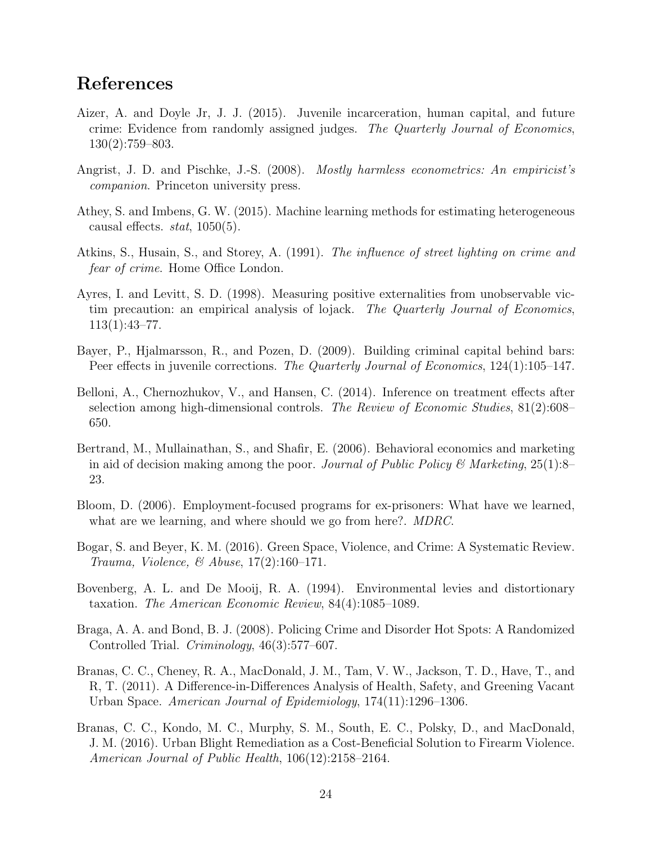# References

- Aizer, A. and Doyle Jr, J. J. (2015). Juvenile incarceration, human capital, and future crime: Evidence from randomly assigned judges. The Quarterly Journal of Economics, 130(2):759–803.
- Angrist, J. D. and Pischke, J.-S. (2008). Mostly harmless econometrics: An empiricist's companion. Princeton university press.
- Athey, S. and Imbens, G. W. (2015). Machine learning methods for estimating heterogeneous causal effects. *stat*,  $1050(5)$ .
- Atkins, S., Husain, S., and Storey, A. (1991). The influence of street lighting on crime and fear of crime. Home Office London.
- Ayres, I. and Levitt, S. D. (1998). Measuring positive externalities from unobservable victim precaution: an empirical analysis of lojack. The Quarterly Journal of Economics, 113(1):43–77.
- Bayer, P., Hjalmarsson, R., and Pozen, D. (2009). Building criminal capital behind bars: Peer effects in juvenile corrections. The Quarterly Journal of Economics, 124(1):105–147.
- Belloni, A., Chernozhukov, V., and Hansen, C. (2014). Inference on treatment effects after selection among high-dimensional controls. The Review of Economic Studies, 81(2):608– 650.
- Bertrand, M., Mullainathan, S., and Shafir, E. (2006). Behavioral economics and marketing in aid of decision making among the poor. Journal of Public Policy & Marketing,  $25(1)$ :8– 23.
- Bloom, D. (2006). Employment-focused programs for ex-prisoners: What have we learned, what are we learning, and where should we go from here?. MDRC.
- Bogar, S. and Beyer, K. M. (2016). Green Space, Violence, and Crime: A Systematic Review. Trauma, Violence, & Abuse, 17(2):160–171.
- Bovenberg, A. L. and De Mooij, R. A. (1994). Environmental levies and distortionary taxation. The American Economic Review, 84(4):1085–1089.
- Braga, A. A. and Bond, B. J. (2008). Policing Crime and Disorder Hot Spots: A Randomized Controlled Trial. Criminology, 46(3):577–607.
- Branas, C. C., Cheney, R. A., MacDonald, J. M., Tam, V. W., Jackson, T. D., Have, T., and R, T. (2011). A Difference-in-Differences Analysis of Health, Safety, and Greening Vacant Urban Space. American Journal of Epidemiology, 174(11):1296–1306.
- Branas, C. C., Kondo, M. C., Murphy, S. M., South, E. C., Polsky, D., and MacDonald, J. M. (2016). Urban Blight Remediation as a Cost-Beneficial Solution to Firearm Violence. American Journal of Public Health, 106(12):2158–2164.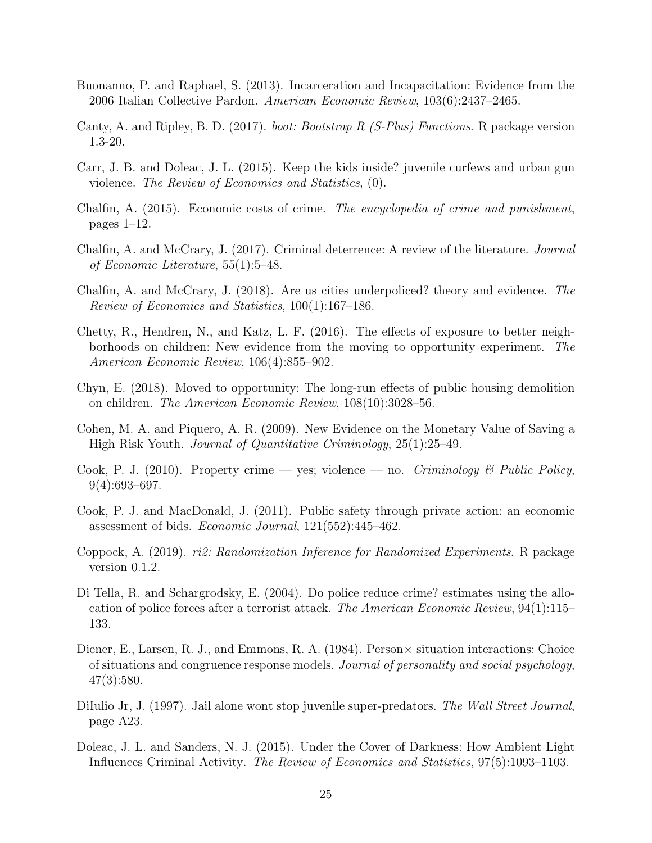- Buonanno, P. and Raphael, S. (2013). Incarceration and Incapacitation: Evidence from the 2006 Italian Collective Pardon. American Economic Review, 103(6):2437–2465.
- Canty, A. and Ripley, B. D. (2017). boot: Bootstrap R (S-Plus) Functions. R package version 1.3-20.
- Carr, J. B. and Doleac, J. L. (2015). Keep the kids inside? juvenile curfews and urban gun violence. The Review of Economics and Statistics, (0).
- Chalfin, A. (2015). Economic costs of crime. The encyclopedia of crime and punishment, pages 1–12.
- Chalfin, A. and McCrary, J. (2017). Criminal deterrence: A review of the literature. Journal of Economic Literature, 55(1):5–48.
- Chalfin, A. and McCrary, J. (2018). Are us cities underpoliced? theory and evidence. The Review of Economics and Statistics, 100(1):167–186.
- Chetty, R., Hendren, N., and Katz, L. F. (2016). The effects of exposure to better neighborhoods on children: New evidence from the moving to opportunity experiment. The American Economic Review, 106(4):855–902.
- Chyn, E. (2018). Moved to opportunity: The long-run effects of public housing demolition on children. The American Economic Review, 108(10):3028–56.
- Cohen, M. A. and Piquero, A. R. (2009). New Evidence on the Monetary Value of Saving a High Risk Youth. Journal of Quantitative Criminology, 25(1):25–49.
- Cook, P. J. (2010). Property crime yes; violence no. Criminology & Public Policy,  $9(4):693-697.$
- Cook, P. J. and MacDonald, J. (2011). Public safety through private action: an economic assessment of bids. Economic Journal, 121(552):445–462.
- Coppock, A. (2019). ri2: Randomization Inference for Randomized Experiments. R package version 0.1.2.
- Di Tella, R. and Schargrodsky, E. (2004). Do police reduce crime? estimates using the allocation of police forces after a terrorist attack. The American Economic Review, 94(1):115– 133.
- Diener, E., Larsen, R. J., and Emmons, R. A. (1984). Person $\times$  situation interactions: Choice of situations and congruence response models. Journal of personality and social psychology, 47(3):580.
- DiIulio Jr, J. (1997). Jail alone wont stop juvenile super-predators. The Wall Street Journal, page A23.
- Doleac, J. L. and Sanders, N. J. (2015). Under the Cover of Darkness: How Ambient Light Influences Criminal Activity. The Review of Economics and Statistics, 97(5):1093–1103.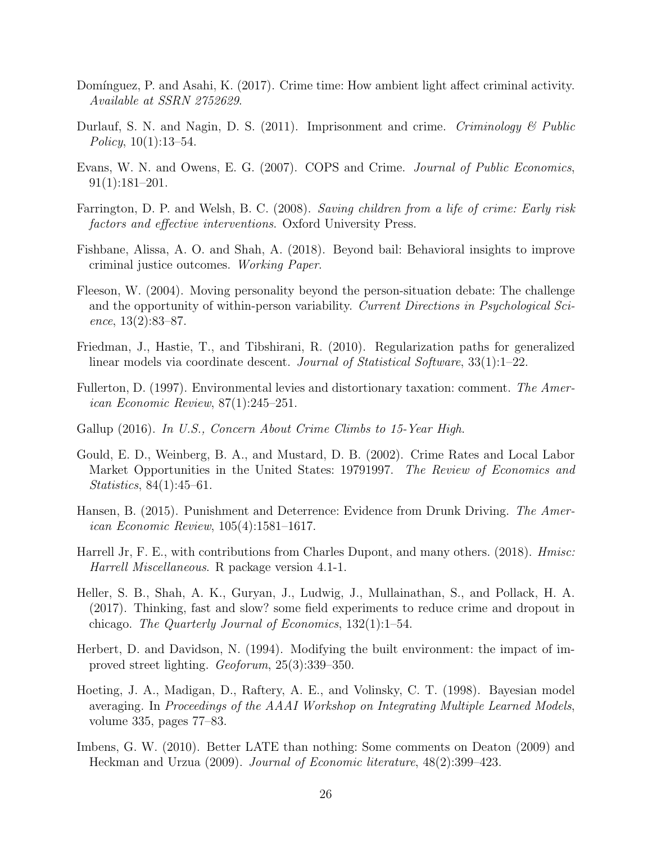- Domínguez, P. and Asahi, K. (2017). Crime time: How ambient light affect criminal activity. Available at SSRN 2752629.
- Durlauf, S. N. and Nagin, D. S. (2011). Imprisonment and crime. Criminology  $\mathscr B$  Public Policy,  $10(1):13-54$ .
- Evans, W. N. and Owens, E. G. (2007). COPS and Crime. Journal of Public Economics, 91(1):181–201.
- Farrington, D. P. and Welsh, B. C. (2008). Saving children from a life of crime: Early risk factors and effective interventions. Oxford University Press.
- Fishbane, Alissa, A. O. and Shah, A. (2018). Beyond bail: Behavioral insights to improve criminal justice outcomes. Working Paper.
- Fleeson, W. (2004). Moving personality beyond the person-situation debate: The challenge and the opportunity of within-person variability. Current Directions in Psychological Science, 13(2):83–87.
- Friedman, J., Hastie, T., and Tibshirani, R. (2010). Regularization paths for generalized linear models via coordinate descent. *Journal of Statistical Software*,  $33(1):1-22$ .
- Fullerton, D. (1997). Environmental levies and distortionary taxation: comment. The American Economic Review, 87(1):245–251.
- Gallup (2016). In U.S., Concern About Crime Climbs to 15-Year High.
- Gould, E. D., Weinberg, B. A., and Mustard, D. B. (2002). Crime Rates and Local Labor Market Opportunities in the United States: 19791997. The Review of Economics and Statistics, 84(1):45–61.
- Hansen, B. (2015). Punishment and Deterrence: Evidence from Drunk Driving. The American Economic Review, 105(4):1581–1617.
- Harrell Jr, F. E., with contributions from Charles Dupont, and many others. (2018). *Hmisc:* Harrell Miscellaneous. R package version 4.1-1.
- Heller, S. B., Shah, A. K., Guryan, J., Ludwig, J., Mullainathan, S., and Pollack, H. A. (2017). Thinking, fast and slow? some field experiments to reduce crime and dropout in chicago. The Quarterly Journal of Economics, 132(1):1–54.
- Herbert, D. and Davidson, N. (1994). Modifying the built environment: the impact of improved street lighting. Geoforum, 25(3):339–350.
- Hoeting, J. A., Madigan, D., Raftery, A. E., and Volinsky, C. T. (1998). Bayesian model averaging. In Proceedings of the AAAI Workshop on Integrating Multiple Learned Models, volume 335, pages 77–83.
- Imbens, G. W. (2010). Better LATE than nothing: Some comments on Deaton (2009) and Heckman and Urzua (2009). Journal of Economic literature, 48(2):399–423.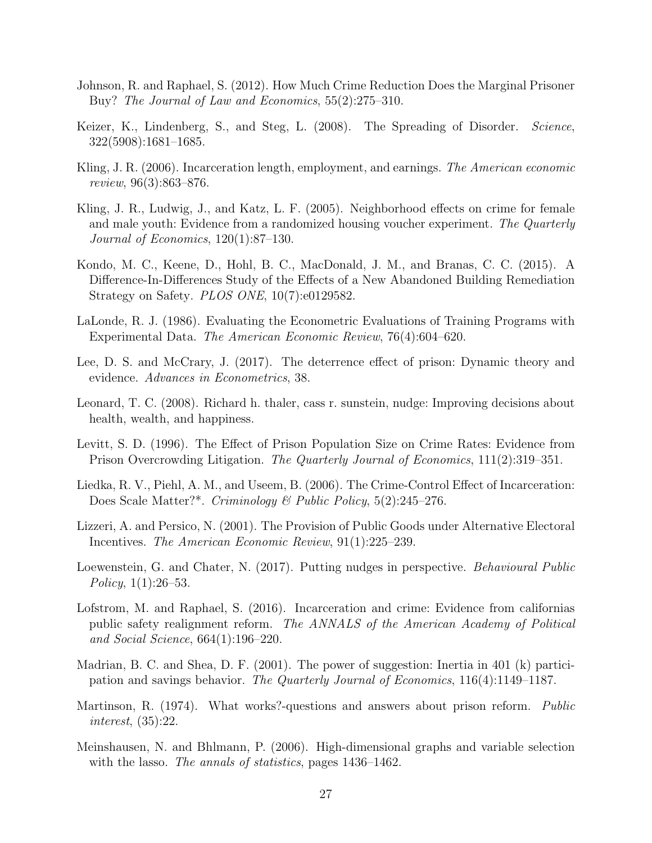- Johnson, R. and Raphael, S. (2012). How Much Crime Reduction Does the Marginal Prisoner Buy? The Journal of Law and Economics, 55(2):275–310.
- Keizer, K., Lindenberg, S., and Steg, L. (2008). The Spreading of Disorder. *Science*, 322(5908):1681–1685.
- Kling, J. R. (2006). Incarceration length, employment, and earnings. The American economic review, 96(3):863–876.
- Kling, J. R., Ludwig, J., and Katz, L. F. (2005). Neighborhood effects on crime for female and male youth: Evidence from a randomized housing voucher experiment. The Quarterly Journal of Economics, 120(1):87–130.
- Kondo, M. C., Keene, D., Hohl, B. C., MacDonald, J. M., and Branas, C. C. (2015). A Difference-In-Differences Study of the Effects of a New Abandoned Building Remediation Strategy on Safety. PLOS ONE, 10(7):e0129582.
- LaLonde, R. J. (1986). Evaluating the Econometric Evaluations of Training Programs with Experimental Data. The American Economic Review, 76(4):604–620.
- Lee, D. S. and McCrary, J. (2017). The deterrence effect of prison: Dynamic theory and evidence. Advances in Econometrics, 38.
- Leonard, T. C. (2008). Richard h. thaler, cass r. sunstein, nudge: Improving decisions about health, wealth, and happiness.
- Levitt, S. D. (1996). The Effect of Prison Population Size on Crime Rates: Evidence from Prison Overcrowding Litigation. The Quarterly Journal of Economics, 111(2):319–351.
- Liedka, R. V., Piehl, A. M., and Useem, B. (2006). The Crime-Control Effect of Incarceration: Does Scale Matter?\*. Criminology & Public Policy, 5(2):245–276.
- Lizzeri, A. and Persico, N. (2001). The Provision of Public Goods under Alternative Electoral Incentives. The American Economic Review, 91(1):225–239.
- Loewenstein, G. and Chater, N. (2017). Putting nudges in perspective. *Behavioural Public* Policy, 1(1):26–53.
- Lofstrom, M. and Raphael, S. (2016). Incarceration and crime: Evidence from californias public safety realignment reform. The ANNALS of the American Academy of Political and Social Science, 664(1):196–220.
- Madrian, B. C. and Shea, D. F. (2001). The power of suggestion: Inertia in 401 (k) participation and savings behavior. The Quarterly Journal of Economics, 116(4):1149–1187.
- Martinson, R. (1974). What works?-questions and answers about prison reform. Public interest, (35):22.
- Meinshausen, N. and Bhlmann, P. (2006). High-dimensional graphs and variable selection with the lasso. The annals of statistics, pages 1436–1462.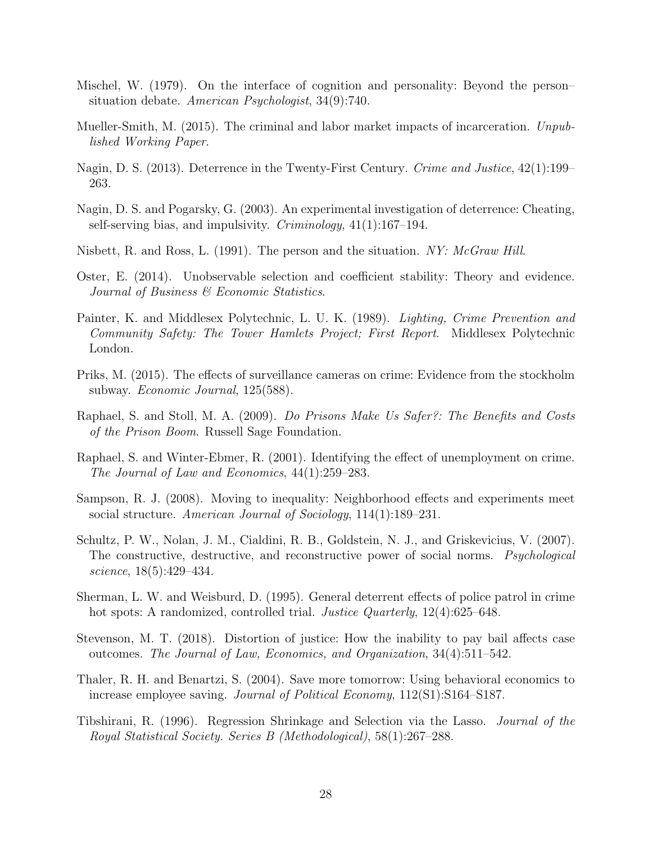- Mischel, W. (1979). On the interface of cognition and personality: Beyond the person– situation debate. American Psychologist, 34(9):740.
- Mueller-Smith, M. (2015). The criminal and labor market impacts of incarceration. Unpublished Working Paper.
- Nagin, D. S. (2013). Deterrence in the Twenty-First Century. Crime and Justice, 42(1):199– 263.
- Nagin, D. S. and Pogarsky, G. (2003). An experimental investigation of deterrence: Cheating, self-serving bias, and impulsivity. *Criminology*,  $41(1):167-194$ .
- Nisbett, R. and Ross, L. (1991). The person and the situation. NY: McGraw Hill.
- Oster, E. (2014). Unobservable selection and coefficient stability: Theory and evidence. Journal of Business & Economic Statistics.
- Painter, K. and Middlesex Polytechnic, L. U. K. (1989). Lighting, Crime Prevention and Community Safety: The Tower Hamlets Project; First Report. Middlesex Polytechnic London.
- Priks, M. (2015). The effects of surveillance cameras on crime: Evidence from the stockholm subway. *Economic Journal*, 125(588).
- Raphael, S. and Stoll, M. A. (2009). Do Prisons Make Us Safer?: The Benefits and Costs of the Prison Boom. Russell Sage Foundation.
- Raphael, S. and Winter-Ebmer, R. (2001). Identifying the effect of unemployment on crime. The Journal of Law and Economics, 44(1):259–283.
- Sampson, R. J. (2008). Moving to inequality: Neighborhood effects and experiments meet social structure. American Journal of Sociology, 114(1):189–231.
- Schultz, P. W., Nolan, J. M., Cialdini, R. B., Goldstein, N. J., and Griskevicius, V. (2007). The constructive, destructive, and reconstructive power of social norms. Psychological science, 18(5):429–434.
- Sherman, L. W. and Weisburd, D. (1995). General deterrent effects of police patrol in crime hot spots: A randomized, controlled trial. *Justice Quarterly*, 12(4):625–648.
- Stevenson, M. T. (2018). Distortion of justice: How the inability to pay bail affects case outcomes. The Journal of Law, Economics, and Organization, 34(4):511–542.
- Thaler, R. H. and Benartzi, S. (2004). Save more tomorrow: Using behavioral economics to increase employee saving. Journal of Political Economy, 112(S1):S164–S187.
- Tibshirani, R. (1996). Regression Shrinkage and Selection via the Lasso. Journal of the Royal Statistical Society. Series B (Methodological), 58(1):267–288.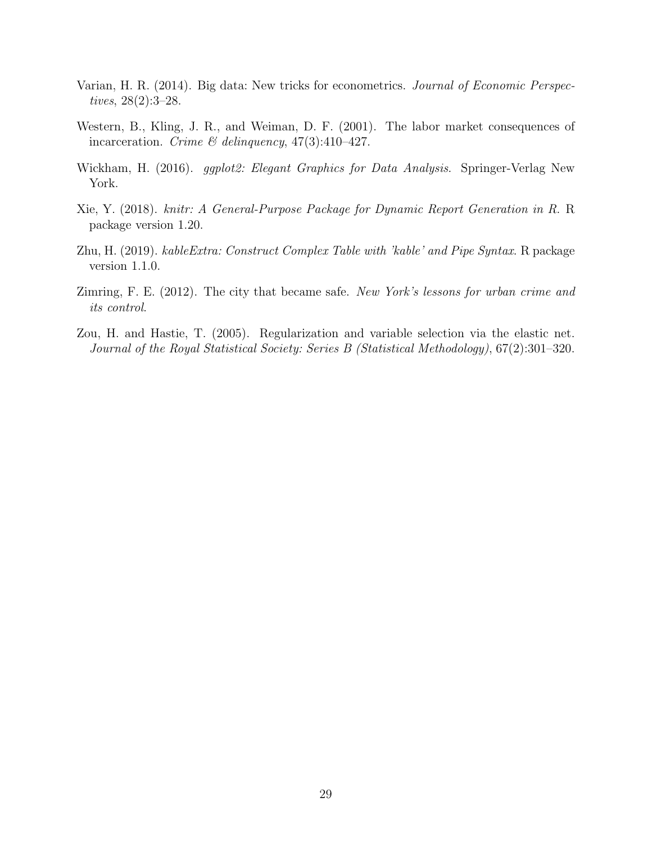- Varian, H. R. (2014). Big data: New tricks for econometrics. Journal of Economic Perspectives, 28(2):3–28.
- Western, B., Kling, J. R., and Weiman, D. F. (2001). The labor market consequences of incarceration. Crime & delinquency,  $47(3):410-427$ .
- Wickham, H. (2016). *ggplot2: Elegant Graphics for Data Analysis*. Springer-Verlag New York.
- Xie, Y. (2018). knitr: A General-Purpose Package for Dynamic Report Generation in R. R package version 1.20.
- Zhu, H. (2019). kableExtra: Construct Complex Table with 'kable' and Pipe Syntax. R package version 1.1.0.
- Zimring, F. E. (2012). The city that became safe. New York's lessons for urban crime and its control.
- Zou, H. and Hastie, T. (2005). Regularization and variable selection via the elastic net. Journal of the Royal Statistical Society: Series B (Statistical Methodology), 67(2):301–320.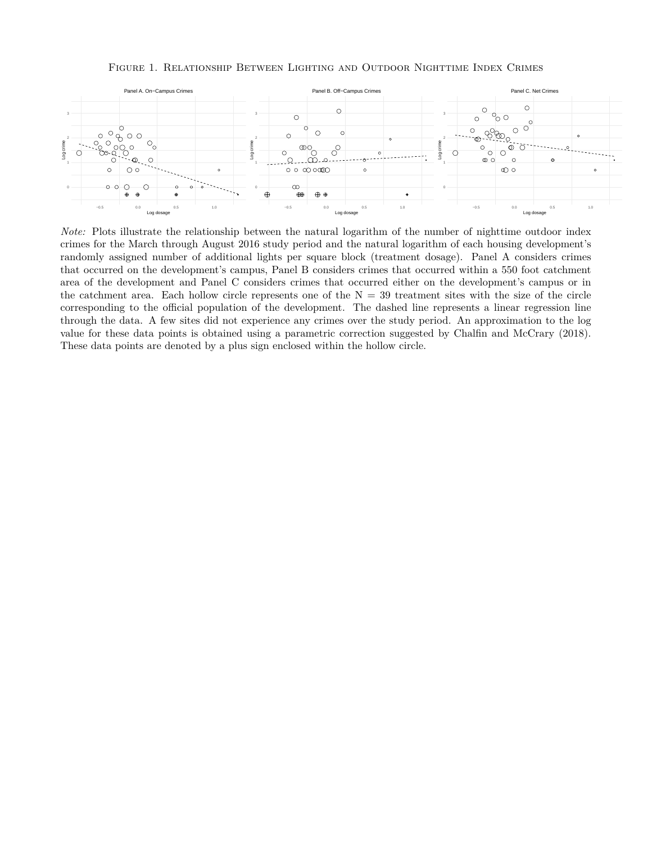#### Figure 1. Relationship Between Lighting and Outdoor Nighttime Index Crimes



*Note:* Plots illustrate the relationship between the natural logarithm of the number of nighttime outdoor index crimes for the March through August 2016 study period and the natural logarithm of each housing development's randomly assigned number of additional lights per square block (treatment dosage). Panel A considers crimes that occurred on the development's campus, Panel B considers crimes that occurred within a 550 foot catchment area of the development and Panel C considers crimes that occurred either on the development's campus or in the catchment area. Each hollow circle represents one of the  $N = 39$  treatment sites with the size of the circle corresponding to the official population of the development. The dashed line represents a linear regression line through the data. A few sites did not experience any crimes over the study period. An approximation to the log value for these data points is obtained using a parametric correction suggested by Chalfin and McCrary (2018). These data points are denoted by a plus sign enclosed within the hollow circle.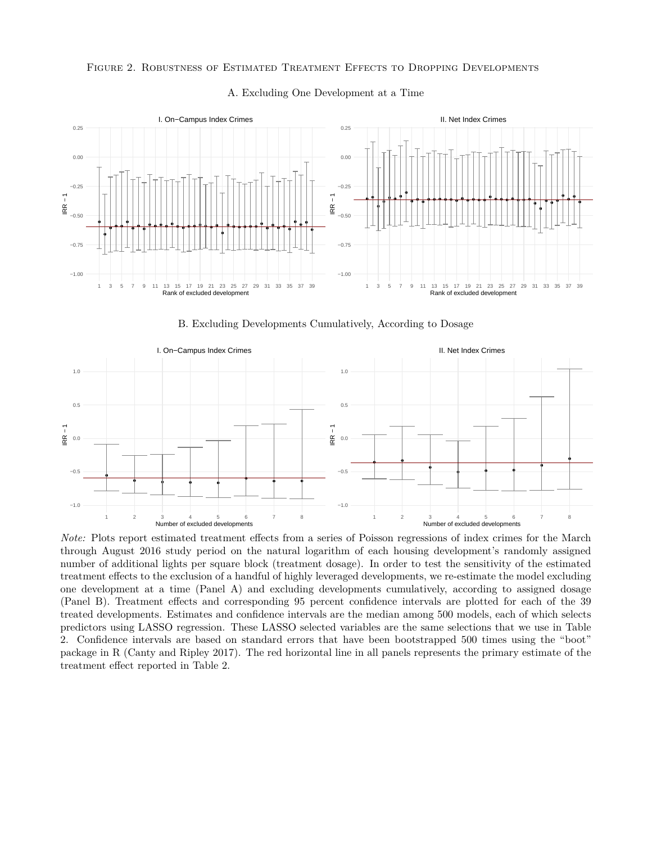#### Figure 2. Robustness of Estimated Treatment Effects to Dropping Developments



#### A. Excluding One Development at a Time

B. Excluding Developments Cumulatively, According to Dosage



*Note:* Plots report estimated treatment effects from a series of Poisson regressions of index crimes for the March through August 2016 study period on the natural logarithm of each housing development's randomly assigned number of additional lights per square block (treatment dosage). In order to test the sensitivity of the estimated treatment effects to the exclusion of a handful of highly leveraged developments, we re-estimate the model excluding one development at a time (Panel A) and excluding developments cumulatively, according to assigned dosage (Panel B). Treatment effects and corresponding 95 percent confidence intervals are plotted for each of the 39 treated developments. Estimates and confidence intervals are the median among 500 models, each of which selects predictors using LASSO regression. These LASSO selected variables are the same selections that we use in Table 2. Confidence intervals are based on standard errors that have been bootstrapped 500 times using the "boot" package in R (Canty and Ripley 2017). The red horizontal line in all panels represents the primary estimate of the treatment effect reported in Table 2.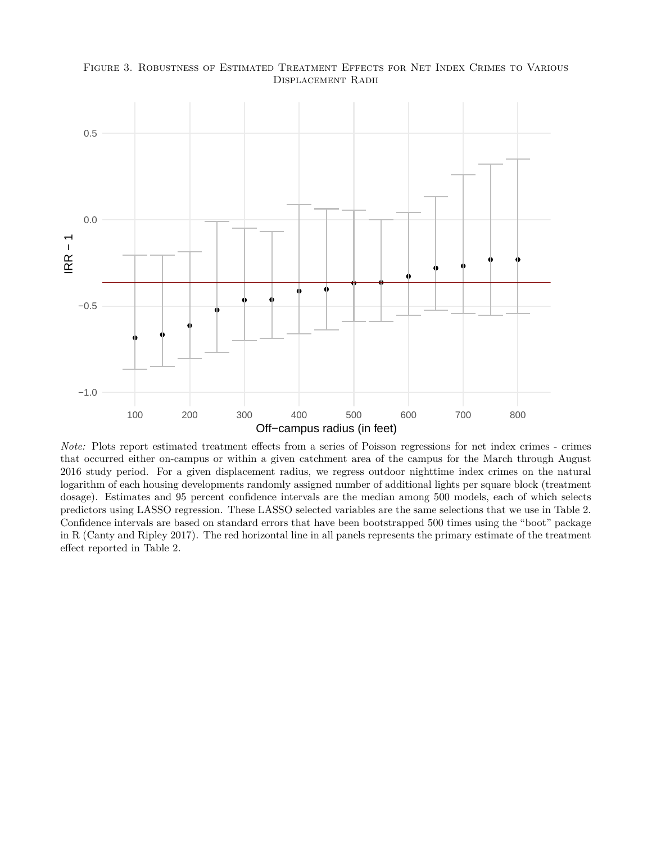

Figure 3. Robustness of Estimated Treatment Effects for Net Index Crimes to Various Displacement Radii

*Note:* Plots report estimated treatment effects from a series of Poisson regressions for net index crimes - crimes that occurred either on-campus or within a given catchment area of the campus for the March through August 2016 study period. For a given displacement radius, we regress outdoor nighttime index crimes on the natural logarithm of each housing developments randomly assigned number of additional lights per square block (treatment dosage). Estimates and 95 percent confidence intervals are the median among 500 models, each of which selects predictors using LASSO regression. These LASSO selected variables are the same selections that we use in Table 2. Confidence intervals are based on standard errors that have been bootstrapped 500 times using the "boot" package in R (Canty and Ripley 2017). The red horizontal line in all panels represents the primary estimate of the treatment effect reported in Table 2.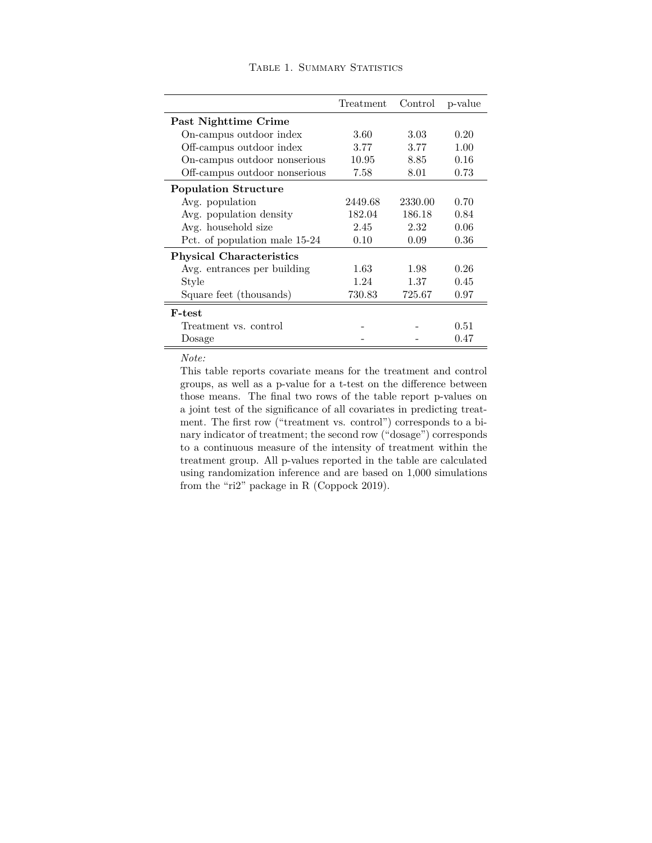|                                                                                                                | Treatment Control p-value |                     |             |
|----------------------------------------------------------------------------------------------------------------|---------------------------|---------------------|-------------|
| Nighttime Crime                                                                                                |                           |                     |             |
| campus outdoor index                                                                                           | 3.60                      | 3.03                | 0.20        |
| campus outdoor index                                                                                           | 3.77                      | 3.77                | 1.00        |
| campus outdoor nonserious                                                                                      | 10.95                     | 8.85                | 0.16        |
| in a comparation of the state of the state of the state of the state of the state of the state of the state of | 7 F.O                     | $\Omega$ $\Omega$ 1 | $\Omega$ 79 |

TABLE 1. SUMMARY STATISTICS

| On-campus outdoor index         | 3.60    | 3.03    | 0.20 |
|---------------------------------|---------|---------|------|
| Off-campus outdoor index        | 3.77    | 3.77    | 1.00 |
| On-campus outdoor nonserious    | 10.95   | 8.85    | 0.16 |
| Off-campus outdoor nonserious   | 7.58    | 8.01    | 0.73 |
| <b>Population Structure</b>     |         |         |      |
| Avg. population                 | 2449.68 | 2330.00 | 0.70 |
| Avg. population density         | 182.04  | 186.18  | 0.84 |
| Avg. household size             | 2.45    | 2.32    | 0.06 |
| Pct. of population male 15-24   | 0.10    | 0.09    | 0.36 |
| <b>Physical Characteristics</b> |         |         |      |
| Avg. entrances per building     | 1.63    | 1.98    | 0.26 |
| Style                           | 1.24    | 1.37    | 0.45 |
| Square feet (thousands)         | 730.83  | 725.67  | 0.97 |
| <b>F-test</b>                   |         |         |      |
| Treatment vs. control           |         |         | 0.51 |
| Dosage                          |         |         | 0.47 |

*Note:*

Past

This table reports covariate means for the treatment and control groups, as well as a p-value for a t-test on the difference between those means. The final two rows of the table report p-values on a joint test of the significance of all covariates in predicting treatment. The first row ("treatment vs. control") corresponds to a binary indicator of treatment; the second row ("dosage") corresponds to a continuous measure of the intensity of treatment within the treatment group. All p-values reported in the table are calculated using randomization inference and are based on 1,000 simulations from the "ri2" package in R (Coppock 2019).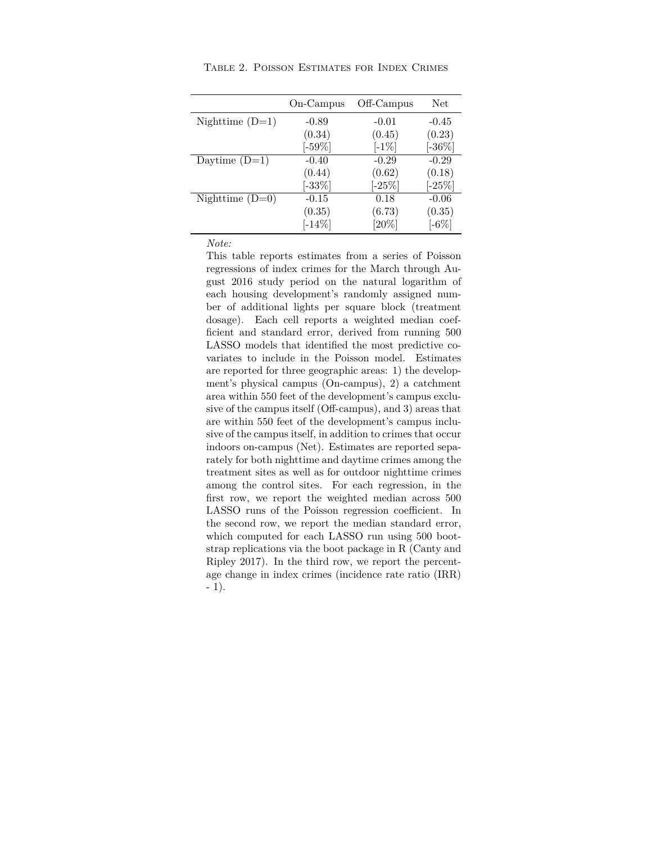|                   | On-Campus | Off-Campus | Net.       |
|-------------------|-----------|------------|------------|
| Nighttime $(D=1)$ | $-0.89$   | $-0.01$    | $-0.45$    |
|                   | (0.34)    | (0.45)     | (0.23)     |
|                   | $[-59\%]$ | $[-1\%]$   | $[-36\%]$  |
| Daytime $(D=1)$   | $-0.40$   | $-0.29$    | $-0.29$    |
|                   | (0.44)    | (0.62)     | (0.18)     |
|                   | $[-33\%]$ | $[-25\%]$  | $[-25\%]$  |
| Nighttime $(D=0)$ | $-0.15$   | 0.18       | $-0.06$    |
|                   | (0.35)    | (6.73)     | (0.35)     |
|                   | $[-14\%]$ | $[20\%]$   | [-6 $\%$ ] |

Table 2. Poisson Estimates for Index Crimes

*Note:*

This table reports estimates from a series of Poisson regressions of index crimes for the March through August 2016 study period on the natural logarithm of each housing development's randomly assigned number of additional lights per square block (treatment dosage). Each cell reports a weighted median coefficient and standard error, derived from running 500 LASSO models that identified the most predictive covariates to include in the Poisson model. Estimates are reported for three geographic areas: 1) the development's physical campus (On-campus), 2) a catchment area within 550 feet of the development's campus exclusive of the campus itself (Off-campus), and 3) areas that are within 550 feet of the development's campus inclusive of the campus itself, in addition to crimes that occur indoors on-campus (Net). Estimates are reported separately for both nighttime and daytime crimes among the treatment sites as well as for outdoor nighttime crimes among the control sites. For each regression, in the first row, we report the weighted median across 500 LASSO runs of the Poisson regression coefficient. In the second row, we report the median standard error, which computed for each LASSO run using 500 bootstrap replications via the boot package in R (Canty and Ripley 2017). In the third row, we report the percentage change in index crimes (incidence rate ratio (IRR) - 1).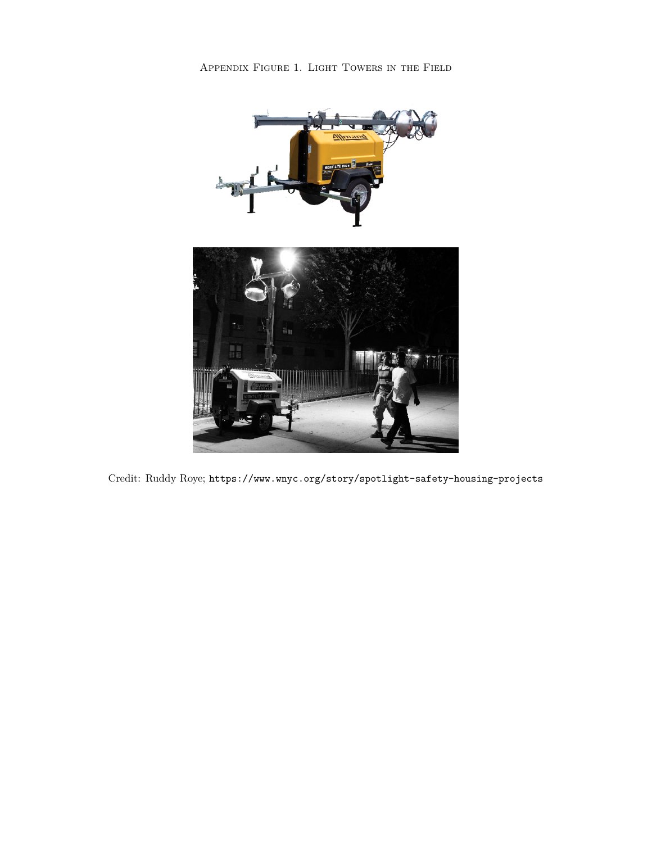

Credit: Ruddy Roye; https://www.wnyc.org/story/spotlight-safety-housing-projects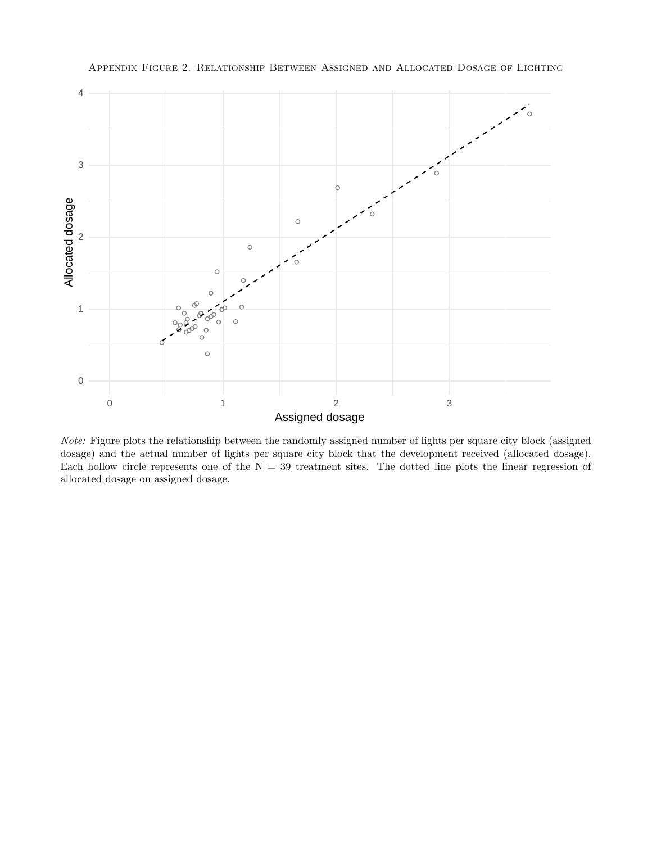

Appendix Figure 2. Relationship Between Assigned and Allocated Dosage of Lighting

*Note:* Figure plots the relationship between the randomly assigned number of lights per square city block (assigned dosage) and the actual number of lights per square city block that the development received (allocated dosage). Each hollow circle represents one of the  $N = 39$  treatment sites. The dotted line plots the linear regression of allocated dosage on assigned dosage.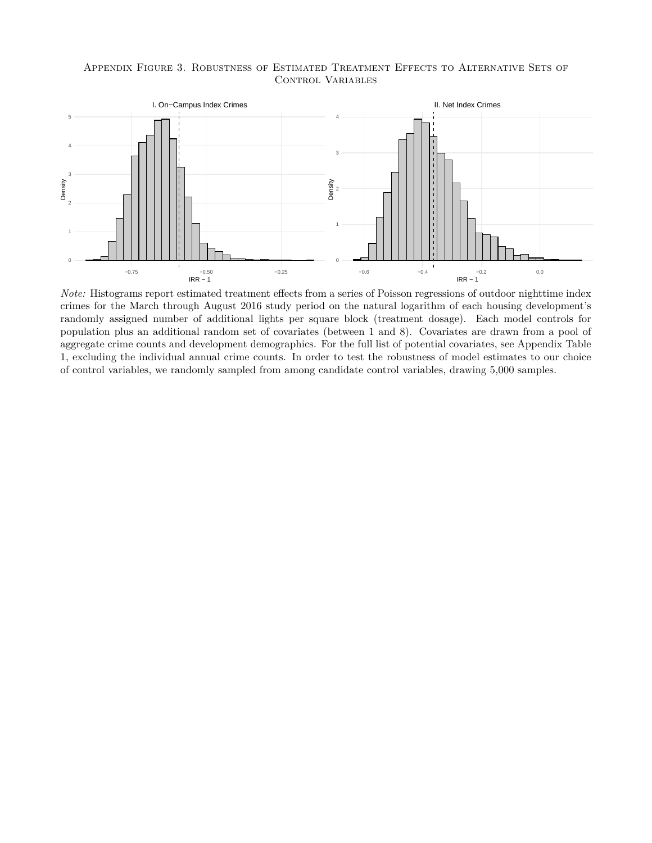#### Appendix Figure 3. Robustness of Estimated Treatment Effects to Alternative Sets of CONTROL VARIABLES



*Note:* Histograms report estimated treatment effects from a series of Poisson regressions of outdoor nighttime index crimes for the March through August 2016 study period on the natural logarithm of each housing development's randomly assigned number of additional lights per square block (treatment dosage). Each model controls for population plus an additional random set of covariates (between 1 and 8). Covariates are drawn from a pool of aggregate crime counts and development demographics. For the full list of potential covariates, see Appendix Table 1, excluding the individual annual crime counts. In order to test the robustness of model estimates to our choice of control variables, we randomly sampled from among candidate control variables, drawing 5,000 samples.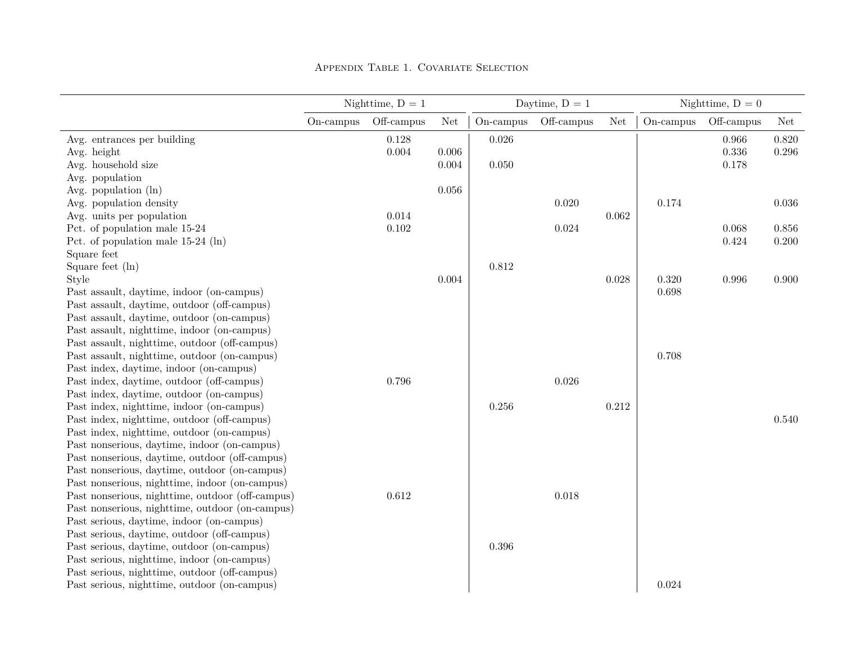|                                                  | Nighttime, $D = 1$ |            |       |           | Daytime, $D = 1$ |                      |              | Nighttime, $D = 0$ |           |
|--------------------------------------------------|--------------------|------------|-------|-----------|------------------|----------------------|--------------|--------------------|-----------|
|                                                  | On-campus          | Off-campus | Net   | On-campus | Off-campus       | $\operatorname{Net}$ | $On$ -campus | Off-campus         | Net       |
| Avg. entrances per building                      |                    | 0.128      |       | 0.026     |                  |                      |              | 0.966              | 0.820     |
| Avg. height                                      |                    | 0.004      | 0.006 |           |                  |                      |              | $0.336\,$          | $0.296\,$ |
| Avg. household size                              |                    |            | 0.004 | 0.050     |                  |                      |              | 0.178              |           |
| Avg. population                                  |                    |            |       |           |                  |                      |              |                    |           |
| Avg. population $(\ln)$                          |                    |            | 0.056 |           |                  |                      |              |                    |           |
| Avg. population density                          |                    |            |       |           | 0.020            |                      | 0.174        |                    | 0.036     |
| Avg. units per population                        |                    | 0.014      |       |           |                  | 0.062                |              |                    |           |
| Pct. of population male 15-24                    |                    | 0.102      |       |           | 0.024            |                      |              | 0.068              | 0.856     |
| Pct. of population male $15-24$ (ln)             |                    |            |       |           |                  |                      |              | 0.424              | 0.200     |
| Square feet                                      |                    |            |       |           |                  |                      |              |                    |           |
| Square feet $(\ln)$                              |                    |            |       | 0.812     |                  |                      |              |                    |           |
| Style                                            |                    |            | 0.004 |           |                  | 0.028                | 0.320        | 0.996              | 0.900     |
| Past assault, daytime, indoor (on-campus)        |                    |            |       |           |                  |                      | 0.698        |                    |           |
| Past assault, daytime, outdoor (off-campus)      |                    |            |       |           |                  |                      |              |                    |           |
| Past assault, daytime, outdoor (on-campus)       |                    |            |       |           |                  |                      |              |                    |           |
| Past assault, nighttime, indoor (on-campus)      |                    |            |       |           |                  |                      |              |                    |           |
| Past assault, nighttime, outdoor (off-campus)    |                    |            |       |           |                  |                      |              |                    |           |
| Past assault, nighttime, outdoor (on-campus)     |                    |            |       |           |                  |                      | 0.708        |                    |           |
| Past index, daytime, indoor (on-campus)          |                    |            |       |           |                  |                      |              |                    |           |
| Past index, daytime, outdoor (off-campus)        |                    | 0.796      |       |           | 0.026            |                      |              |                    |           |
| Past index, daytime, outdoor (on-campus)         |                    |            |       |           |                  |                      |              |                    |           |
| Past index, nighttime, indoor (on-campus)        |                    |            |       | 0.256     |                  | 0.212                |              |                    |           |
| Past index, nighttime, outdoor (off-campus)      |                    |            |       |           |                  |                      |              |                    | 0.540     |
| Past index, nighttime, outdoor (on-campus)       |                    |            |       |           |                  |                      |              |                    |           |
| Past nonserious, daytime, indoor (on-campus)     |                    |            |       |           |                  |                      |              |                    |           |
| Past nonserious, daytime, outdoor (off-campus)   |                    |            |       |           |                  |                      |              |                    |           |
| Past nonserious, daytime, outdoor (on-campus)    |                    |            |       |           |                  |                      |              |                    |           |
| Past nonserious, nighttime, indoor (on-campus)   |                    |            |       |           |                  |                      |              |                    |           |
| Past nonserious, nighttime, outdoor (off-campus) |                    | 0.612      |       |           | 0.018            |                      |              |                    |           |
| Past nonserious, nighttime, outdoor (on-campus)  |                    |            |       |           |                  |                      |              |                    |           |
| Past serious, daytime, indoor (on-campus)        |                    |            |       |           |                  |                      |              |                    |           |
| Past serious, daytime, outdoor (off-campus)      |                    |            |       |           |                  |                      |              |                    |           |
| Past serious, daytime, outdoor (on-campus)       |                    |            |       | 0.396     |                  |                      |              |                    |           |
| Past serious, nighttime, indoor (on-campus)      |                    |            |       |           |                  |                      |              |                    |           |
| Past serious, nighttime, outdoor (off-campus)    |                    |            |       |           |                  |                      |              |                    |           |
| Past serious, nighttime, outdoor (on-campus)     |                    |            |       |           |                  |                      | 0.024        |                    |           |

Appendix Table 1. Covariate Selection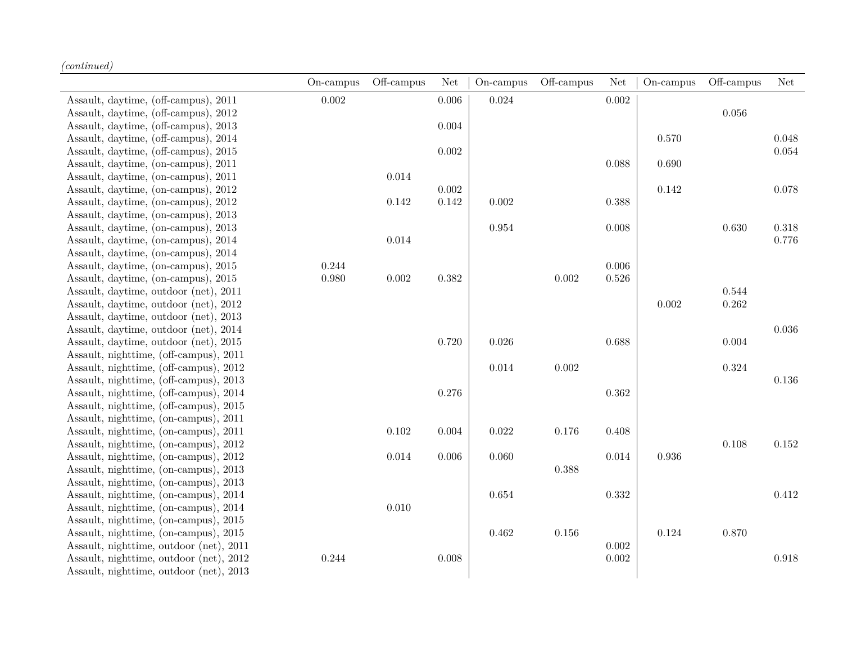|                                         | On-campus | Off-campus | Net       | On-campus | Off-campus | Net         | On-campus | Off-campus | <b>Net</b> |
|-----------------------------------------|-----------|------------|-----------|-----------|------------|-------------|-----------|------------|------------|
| Assault, daytime, (off-campus), 2011    | $0.002\,$ |            | 0.006     | 0.024     |            | 0.002       |           |            |            |
| Assault, daytime, (off-campus), 2012    |           |            |           |           |            |             |           | 0.056      |            |
| Assault, daytime, (off-campus), 2013    |           |            | 0.004     |           |            |             |           |            |            |
| Assault, daytime, (off-campus), 2014    |           |            |           |           |            |             | 0.570     |            | 0.048      |
| Assault, daytime, (off-campus), 2015    |           |            | 0.002     |           |            |             |           |            | 0.054      |
| Assault, daytime, (on-campus), 2011     |           |            |           |           |            | 0.088       | 0.690     |            |            |
| Assault, daytime, (on-campus), 2011     |           | 0.014      |           |           |            |             |           |            |            |
| Assault, daytime, (on-campus), 2012     |           |            | 0.002     |           |            |             | 0.142     |            | 0.078      |
| Assault, daytime, (on-campus), 2012     |           | 0.142      | 0.142     | $0.002\,$ |            | 0.388       |           |            |            |
| Assault, daytime, (on-campus), 2013     |           |            |           |           |            |             |           |            |            |
| Assault, daytime, (on-campus), 2013     |           |            |           | 0.954     |            | 0.008       |           | $0.630\,$  | $0.318\,$  |
| Assault, daytime, (on-campus), 2014     |           | 0.014      |           |           |            |             |           |            | 0.776      |
| Assault, daytime, (on-campus), 2014     |           |            |           |           |            |             |           |            |            |
| Assault, daytime, (on-campus), 2015     | 0.244     |            |           |           |            | $0.006\,$   |           |            |            |
| Assault, daytime, (on-campus), 2015     | 0.980     | $0.002\,$  | $0.382\,$ |           | 0.002      | $0.526\,$   |           |            |            |
| Assault, daytime, outdoor (net), 2011   |           |            |           |           |            |             |           | 0.544      |            |
| Assault, daytime, outdoor (net), 2012   |           |            |           |           |            |             | 0.002     | 0.262      |            |
| Assault, daytime, outdoor (net), 2013   |           |            |           |           |            |             |           |            |            |
| Assault, daytime, outdoor (net), 2014   |           |            |           |           |            |             |           |            | 0.036      |
| Assault, daytime, outdoor (net), 2015   |           |            | 0.720     | 0.026     |            | 0.688       |           | 0.004      |            |
| Assault, nighttime, (off-campus), 2011  |           |            |           |           |            |             |           |            |            |
| Assault, nighttime, (off-campus), 2012  |           |            |           | 0.014     | $0.002\,$  |             |           | $0.324\,$  |            |
| Assault, nighttime, (off-campus), 2013  |           |            |           |           |            |             |           |            | 0.136      |
| Assault, nighttime, (off-campus), 2014  |           |            | 0.276     |           |            | $\,0.362\,$ |           |            |            |
| Assault, nighttime, (off-campus), 2015  |           |            |           |           |            |             |           |            |            |
| Assault, nighttime, (on-campus), 2011   |           |            |           |           |            |             |           |            |            |
| Assault, nighttime, (on-campus), 2011   |           | 0.102      | 0.004     | 0.022     | 0.176      | 0.408       |           |            |            |
| Assault, nighttime, (on-campus), 2012   |           |            |           |           |            |             |           | 0.108      | 0.152      |
| Assault, nighttime, (on-campus), 2012   |           | $0.014\,$  | $0.006\,$ | 0.060     |            | 0.014       | 0.936     |            |            |
| Assault, nighttime, (on-campus), 2013   |           |            |           |           | 0.388      |             |           |            |            |
| Assault, nighttime, (on-campus), 2013   |           |            |           |           |            |             |           |            |            |
| Assault, nighttime, (on-campus), 2014   |           |            |           | 0.654     |            | $\rm 0.332$ |           |            | 0.412      |
| Assault, nighttime, (on-campus), 2014   |           | $0.010\,$  |           |           |            |             |           |            |            |
| Assault, nighttime, (on-campus), 2015   |           |            |           |           |            |             |           |            |            |
| Assault, nighttime, (on-campus), 2015   |           |            |           | 0.462     | 0.156      |             | 0.124     | 0.870      |            |
| Assault, nighttime, outdoor (net), 2011 |           |            |           |           |            | 0.002       |           |            |            |
| Assault, nighttime, outdoor (net), 2012 | 0.244     |            | 0.008     |           |            | $0.002\,$   |           |            | 0.918      |
| Assault, nighttime, outdoor (net), 2013 |           |            |           |           |            |             |           |            |            |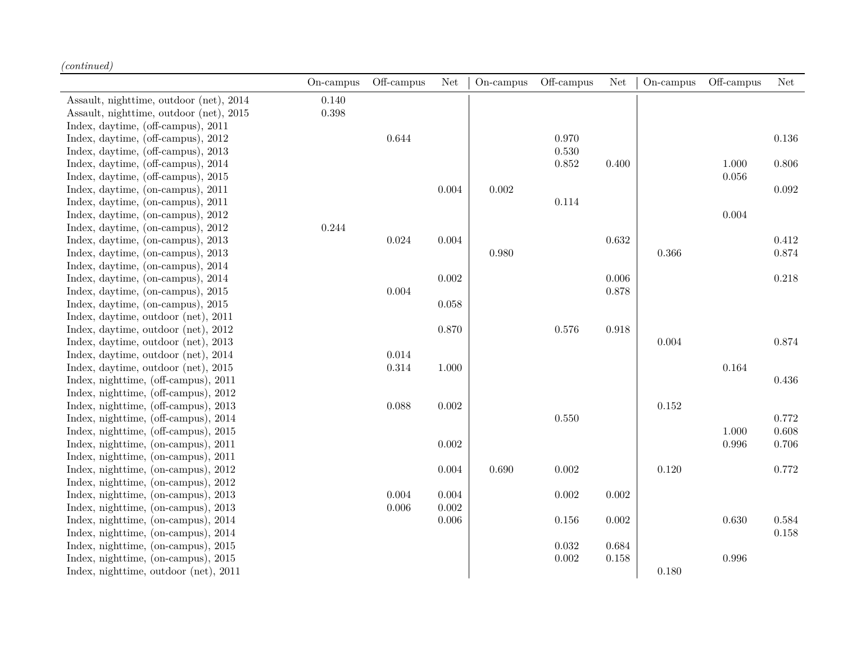|                                         | On-campus | Off-campus | Net       | On-campus | Off-campus | Net         | $On$ -campus | Off-campus | <b>Net</b> |
|-----------------------------------------|-----------|------------|-----------|-----------|------------|-------------|--------------|------------|------------|
| Assault, nighttime, outdoor (net), 2014 | 0.140     |            |           |           |            |             |              |            |            |
| Assault, nighttime, outdoor (net), 2015 | 0.398     |            |           |           |            |             |              |            |            |
| Index, daytime, (off-campus), 2011      |           |            |           |           |            |             |              |            |            |
| Index, daytime, (off-campus), 2012      |           | 0.644      |           |           | 0.970      |             |              |            | $0.136\,$  |
| Index, daytime, (off-campus), 2013      |           |            |           |           | 0.530      |             |              |            |            |
| Index, daytime, (off-campus), 2014      |           |            |           |           | 0.852      | 0.400       |              | $1.000\,$  | $0.806\,$  |
| Index, daytime, (off-campus), 2015      |           |            |           |           |            |             |              | 0.056      |            |
| Index, daytime, (on-campus), 2011       |           |            | $0.004\,$ | 0.002     |            |             |              |            | 0.092      |
| Index, daytime, (on-campus), 2011       |           |            |           |           | 0.114      |             |              |            |            |
| Index, daytime, (on-campus), 2012       |           |            |           |           |            |             |              | 0.004      |            |
| Index, daytime, (on-campus), 2012       | 0.244     |            |           |           |            |             |              |            |            |
| Index, daytime, (on-campus), 2013       |           | 0.024      | 0.004     |           |            | 0.632       |              |            | 0.412      |
| Index, daytime, (on-campus), 2013       |           |            |           | 0.980     |            |             | 0.366        |            | 0.874      |
| Index, daytime, (on-campus), 2014       |           |            |           |           |            |             |              |            |            |
| Index, daytime, (on-campus), 2014       |           |            | 0.002     |           |            | 0.006       |              |            | 0.218      |
| Index, daytime, (on-campus), 2015       |           | $0.004\,$  |           |           |            | 0.878       |              |            |            |
| Index, daytime, (on-campus), 2015       |           |            | 0.058     |           |            |             |              |            |            |
| Index, daytime, outdoor (net), 2011     |           |            |           |           |            |             |              |            |            |
| Index, daytime, outdoor (net), 2012     |           |            | 0.870     |           | 0.576      | 0.918       |              |            |            |
| Index, daytime, outdoor (net), 2013     |           |            |           |           |            |             | 0.004        |            | 0.874      |
| Index, daytime, outdoor (net), 2014     |           | 0.014      |           |           |            |             |              |            |            |
| Index, daytime, outdoor (net), 2015     |           | $0.314\,$  | 1.000     |           |            |             |              | 0.164      |            |
| Index, nighttime, (off-campus), 2011    |           |            |           |           |            |             |              |            | 0.436      |
| Index, nighttime, (off-campus), 2012    |           |            |           |           |            |             |              |            |            |
| Index, nighttime, (off-campus), 2013    |           | 0.088      | $0.002\,$ |           |            |             | 0.152        |            |            |
| Index, nighttime, (off-campus), 2014    |           |            |           |           | 0.550      |             |              |            | 0.772      |
| Index, nighttime, (off-campus), 2015    |           |            |           |           |            |             |              | 1.000      | 0.608      |
| Index, nighttime, (on-campus), 2011     |           |            | 0.002     |           |            |             |              | 0.996      | 0.706      |
| Index, nighttime, (on-campus), 2011     |           |            |           |           |            |             |              |            |            |
| Index, nighttime, (on-campus), 2012     |           |            | 0.004     | 0.690     | 0.002      |             | 0.120        |            | 0.772      |
| Index, nighttime, (on-campus), 2012     |           |            |           |           |            |             |              |            |            |
| Index, nighttime, (on-campus), 2013     |           | 0.004      | 0.004     |           | 0.002      | $\,0.002\,$ |              |            |            |
| Index, nighttime, (on-campus), 2013     |           | 0.006      | $0.002\,$ |           |            |             |              |            |            |
| Index, nighttime, (on-campus), 2014     |           |            | 0.006     |           | 0.156      | $0.002\,$   |              | 0.630      | 0.584      |
| Index, nighttime, (on-campus), 2014     |           |            |           |           |            |             |              |            | 0.158      |
| Index, nighttime, (on-campus), 2015     |           |            |           |           | 0.032      | 0.684       |              |            |            |
| Index, nighttime, (on-campus), 2015     |           |            |           |           | 0.002      | $0.158\,$   |              | 0.996      |            |
| Index, nighttime, outdoor (net), 2011   |           |            |           |           |            |             | 0.180        |            |            |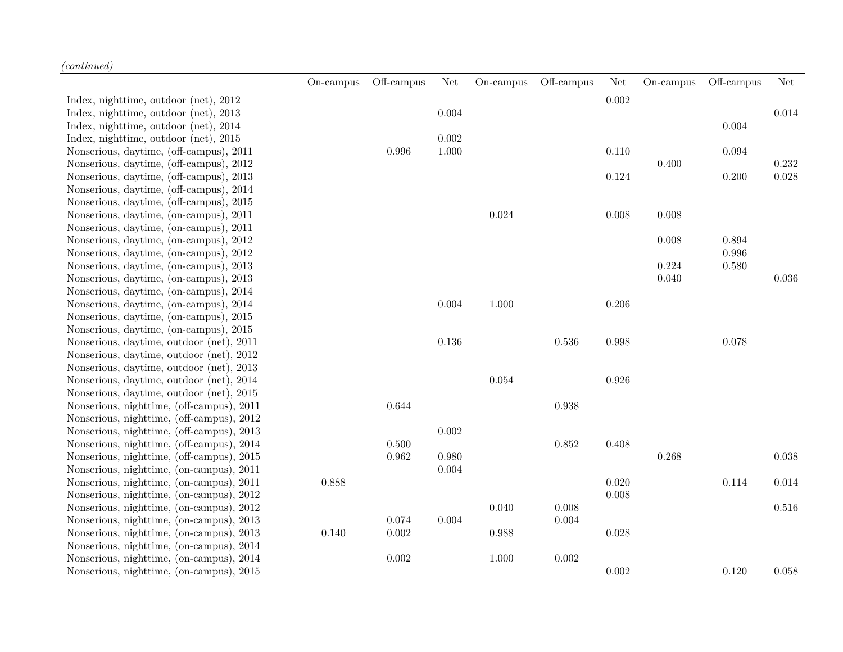|                                           | $On$ -campus | Off-campus | Net   | On-campus | Off-campus | Net         | On-campus | Off-campus | <b>Net</b> |
|-------------------------------------------|--------------|------------|-------|-----------|------------|-------------|-----------|------------|------------|
| Index, nighttime, outdoor (net), 2012     |              |            |       |           |            | $\,0.002\,$ |           |            |            |
| Index, nighttime, outdoor (net), 2013     |              |            | 0.004 |           |            |             |           |            | 0.014      |
| Index, nighttime, outdoor (net), 2014     |              |            |       |           |            |             |           | $0.004\,$  |            |
| Index, nighttime, outdoor (net), 2015     |              |            | 0.002 |           |            |             |           |            |            |
| Nonserious, daytime, (off-campus), 2011   |              | 0.996      | 1.000 |           |            | 0.110       |           | 0.094      |            |
| Nonserious, daytime, (off-campus), 2012   |              |            |       |           |            |             | 0.400     |            | $0.232\,$  |
| Nonserious, daytime, (off-campus), 2013   |              |            |       |           |            | 0.124       |           | 0.200      | 0.028      |
| Nonserious, daytime, (off-campus), 2014   |              |            |       |           |            |             |           |            |            |
| Nonserious, daytime, (off-campus), 2015   |              |            |       |           |            |             |           |            |            |
| Nonserious, daytime, (on-campus), 2011    |              |            |       | 0.024     |            | 0.008       | 0.008     |            |            |
| Nonserious, daytime, (on-campus), 2011    |              |            |       |           |            |             |           |            |            |
| Nonserious, daytime, (on-campus), 2012    |              |            |       |           |            |             | 0.008     | 0.894      |            |
| Nonserious, daytime, (on-campus), 2012    |              |            |       |           |            |             |           | 0.996      |            |
| Nonserious, daytime, (on-campus), 2013    |              |            |       |           |            |             | 0.224     | 0.580      |            |
| Nonserious, daytime, (on-campus), 2013    |              |            |       |           |            |             | 0.040     |            | 0.036      |
| Nonserious, daytime, (on-campus), 2014    |              |            |       |           |            |             |           |            |            |
| Nonserious, daytime, (on-campus), 2014    |              |            | 0.004 | 1.000     |            | 0.206       |           |            |            |
| Nonserious, daytime, (on-campus), 2015    |              |            |       |           |            |             |           |            |            |
| Nonserious, daytime, (on-campus), 2015    |              |            |       |           |            |             |           |            |            |
| Nonserious, daytime, outdoor (net), 2011  |              |            | 0.136 |           | $0.536\,$  | 0.998       |           | 0.078      |            |
| Nonserious, daytime, outdoor (net), 2012  |              |            |       |           |            |             |           |            |            |
| Nonserious, daytime, outdoor (net), 2013  |              |            |       |           |            |             |           |            |            |
| Nonserious, daytime, outdoor (net), 2014  |              |            |       | 0.054     |            | 0.926       |           |            |            |
| Nonserious, daytime, outdoor (net), 2015  |              |            |       |           |            |             |           |            |            |
| Nonserious, nighttime, (off-campus), 2011 |              | 0.644      |       |           | 0.938      |             |           |            |            |
| Nonserious, nighttime, (off-campus), 2012 |              |            |       |           |            |             |           |            |            |
| Nonserious, nighttime, (off-campus), 2013 |              |            | 0.002 |           |            |             |           |            |            |
| Nonserious, nighttime, (off-campus), 2014 |              | 0.500      |       |           | 0.852      | 0.408       |           |            |            |
| Nonserious, nighttime, (off-campus), 2015 |              | 0.962      | 0.980 |           |            |             | 0.268     |            | 0.038      |
| Nonserious, nighttime, (on-campus), 2011  |              |            | 0.004 |           |            |             |           |            |            |
| Nonserious, nighttime, (on-campus), 2011  | 0.888        |            |       |           |            | 0.020       |           | 0.114      | $0.014\,$  |
| Nonserious, nighttime, (on-campus), 2012  |              |            |       |           |            | 0.008       |           |            |            |
| Nonserious, nighttime, (on-campus), 2012  |              |            |       | 0.040     | 0.008      |             |           |            | 0.516      |
| Nonserious, nighttime, (on-campus), 2013  |              | 0.074      | 0.004 |           | 0.004      |             |           |            |            |
| Nonserious, nighttime, (on-campus), 2013  | 0.140        | 0.002      |       | 0.988     |            | $0.028\,$   |           |            |            |
| Nonserious, nighttime, (on-campus), 2014  |              |            |       |           |            |             |           |            |            |
| Nonserious, nighttime, (on-campus), 2014  |              | $0.002\,$  |       | 1.000     | $0.002\,$  |             |           |            |            |
| Nonserious, nighttime, (on-campus), 2015  |              |            |       |           |            | 0.002       |           | 0.120      | 0.058      |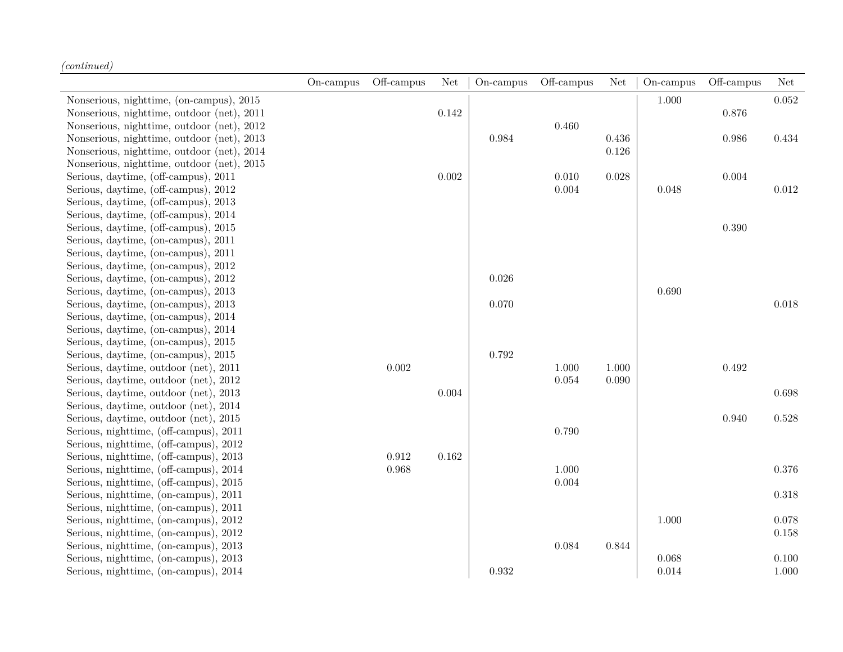|                                            | On-campus | Off-campus | Net       | On-campus | Off-campus | Net   | On-campus | Off-campus  | Net       |
|--------------------------------------------|-----------|------------|-----------|-----------|------------|-------|-----------|-------------|-----------|
| Nonserious, nighttime, (on-campus), 2015   |           |            |           |           |            |       | 1.000     |             | 0.052     |
| Nonserious, nighttime, outdoor (net), 2011 |           |            | $0.142\,$ |           |            |       |           | $0.876\,$   |           |
| Nonserious, nighttime, outdoor (net), 2012 |           |            |           |           | 0.460      |       |           |             |           |
| Nonserious, nighttime, outdoor (net), 2013 |           |            |           | 0.984     |            | 0.436 |           | $\,0.986\,$ | 0.434     |
| Nonserious, nighttime, outdoor (net), 2014 |           |            |           |           |            | 0.126 |           |             |           |
| Nonserious, nighttime, outdoor (net), 2015 |           |            |           |           |            |       |           |             |           |
| Serious, daytime, (off-campus), 2011       |           |            | 0.002     |           | 0.010      | 0.028 |           | 0.004       |           |
| Serious, daytime, (off-campus), 2012       |           |            |           |           | 0.004      |       | 0.048     |             | 0.012     |
| Serious, daytime, (off-campus), 2013       |           |            |           |           |            |       |           |             |           |
| Serious, daytime, (off-campus), 2014       |           |            |           |           |            |       |           |             |           |
| Serious, daytime, (off-campus), 2015       |           |            |           |           |            |       |           | $0.390\,$   |           |
| Serious, daytime, (on-campus), 2011        |           |            |           |           |            |       |           |             |           |
| Serious, daytime, (on-campus), 2011        |           |            |           |           |            |       |           |             |           |
| Serious, daytime, (on-campus), 2012        |           |            |           |           |            |       |           |             |           |
| Serious, daytime, (on-campus), 2012        |           |            |           | 0.026     |            |       |           |             |           |
| Serious, daytime, (on-campus), 2013        |           |            |           |           |            |       | 0.690     |             |           |
| Serious, daytime, (on-campus), 2013        |           |            |           | 0.070     |            |       |           |             | 0.018     |
| Serious, daytime, (on-campus), 2014        |           |            |           |           |            |       |           |             |           |
| Serious, daytime, (on-campus), 2014        |           |            |           |           |            |       |           |             |           |
| Serious, daytime, (on-campus), 2015        |           |            |           |           |            |       |           |             |           |
| Serious, daytime, (on-campus), 2015        |           |            |           | 0.792     |            |       |           |             |           |
| Serious, daytime, outdoor (net), 2011      |           | 0.002      |           |           | 1.000      | 1.000 |           | 0.492       |           |
| Serious, daytime, outdoor (net), 2012      |           |            |           |           | 0.054      | 0.090 |           |             |           |
| Serious, daytime, outdoor (net), 2013      |           |            | $0.004\,$ |           |            |       |           |             | $0.698\,$ |
| Serious, daytime, outdoor (net), 2014      |           |            |           |           |            |       |           |             |           |
| Serious, daytime, outdoor (net), 2015      |           |            |           |           |            |       |           | 0.940       | $0.528\,$ |
| Serious, nighttime, (off-campus), 2011     |           |            |           |           | 0.790      |       |           |             |           |
| Serious, nighttime, (off-campus), 2012     |           |            |           |           |            |       |           |             |           |
| Serious, nighttime, (off-campus), 2013     |           | 0.912      | 0.162     |           |            |       |           |             |           |
| Serious, nighttime, (off-campus), 2014     |           | 0.968      |           |           | 1.000      |       |           |             | $0.376\,$ |
| Serious, nighttime, (off-campus), 2015     |           |            |           |           | 0.004      |       |           |             |           |
| Serious, nighttime, (on-campus), 2011      |           |            |           |           |            |       |           |             | 0.318     |
| Serious, nighttime, (on-campus), 2011      |           |            |           |           |            |       |           |             |           |
| Serious, nighttime, (on-campus), 2012      |           |            |           |           |            |       | 1.000     |             | 0.078     |
| Serious, nighttime, (on-campus), 2012      |           |            |           |           |            |       |           |             | 0.158     |
| Serious, nighttime, (on-campus), 2013      |           |            |           |           | 0.084      | 0.844 |           |             |           |
| Serious, nighttime, (on-campus), 2013      |           |            |           |           |            |       | 0.068     |             | 0.100     |
| Serious, nighttime, (on-campus), 2014      |           |            |           | 0.932     |            |       | 0.014     |             | 1.000     |